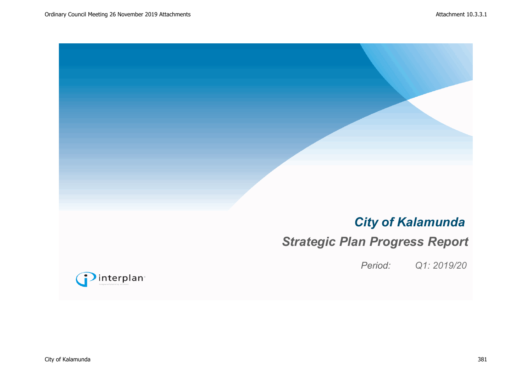# *City of Kalamunda*

# *Strategic Plan Progress Report*

*Period: Q1: 2019/20*

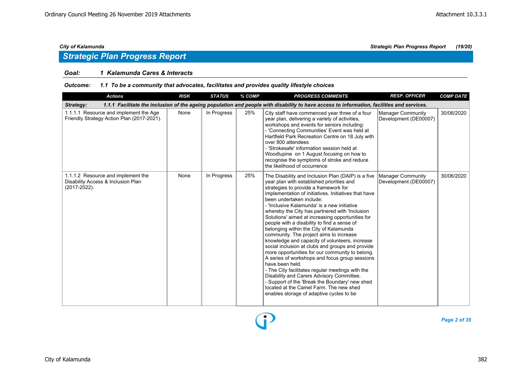### *Goal: 1 Kalamunda Cares & Interacts*

### *Outcome: 1.1 To be a community that advocates, facilitates and provides quality lifestyle choices*

| <b>Actions</b>                                                                                                                                          | <b>RISK</b> | <b>STATUS</b> | % COMP | <b>PROGRESS COMMENTS</b>                                                                                                                                                                                                                                                                                                                                                                                                                                                                                                                                                                                                                                                                                                                                                                                                                                                                                                                                                                      | <b>RESP. OFFICER</b>                       | <b>COMP DATE</b> |  |  |  |  |
|---------------------------------------------------------------------------------------------------------------------------------------------------------|-------------|---------------|--------|-----------------------------------------------------------------------------------------------------------------------------------------------------------------------------------------------------------------------------------------------------------------------------------------------------------------------------------------------------------------------------------------------------------------------------------------------------------------------------------------------------------------------------------------------------------------------------------------------------------------------------------------------------------------------------------------------------------------------------------------------------------------------------------------------------------------------------------------------------------------------------------------------------------------------------------------------------------------------------------------------|--------------------------------------------|------------------|--|--|--|--|
| 1.1.1 Facilitate the inclusion of the ageing population and people with disability to have access to information, facilities and services.<br>Strategy: |             |               |        |                                                                                                                                                                                                                                                                                                                                                                                                                                                                                                                                                                                                                                                                                                                                                                                                                                                                                                                                                                                               |                                            |                  |  |  |  |  |
| 1.1.1.1 Resource and implement the Age<br>Friendly Strategy Action Plan (2017-2021).                                                                    | None        | In Progress   | 25%    | City staff have commenced year three of a four<br>year plan, delivering a variety of activities,<br>workshops and events for seniors including:<br>- 'Connecting Communities' Event was held at<br>Hartfield Park Recreation Centre on 18 July with<br>over 800 attendees<br>- 'Strokesafe' information session held at<br>Woodlupine on 1 August focusing on how to<br>recognise the symptoms of stroke and reduce<br>the likelihood of occurrence                                                                                                                                                                                                                                                                                                                                                                                                                                                                                                                                           | Manager Community<br>Development (DE00007) | 30/06/2020       |  |  |  |  |
| 1.1.1.2 Resource and implement the<br>Disability Access & Inclusion Plan<br>(2017-2022).                                                                | None        | In Progress   | 25%    | The Disability and Inclusion Plan (DAIP) is a five<br>year plan with established priorities and<br>strategies to provide a framework for<br>implementation of initiatives. Initiatives that have<br>been undertaken include:<br>- 'Inclusive Kalamunda' is a new initiative<br>whereby the City has partnered with 'Inclusion<br>Solutions' aimed at increasing opportunities for<br>people with a disability to find a sense of<br>belonging within the City of Kalamunda<br>community. The project aims to increase<br>knowledge and capacity of volunteers, increase<br>social inclusion at clubs and groups and provide<br>more opportunities for our community to belong.<br>A series of workshops and focus group sessions<br>have been held.<br>- The City facilitates regular meetings with the<br>Disability and Carers Advisory Committee.<br>- Support of the 'Break the Boundary' new shed<br>located at the Camel Farm. The new shed<br>enables storage of adaptive cycles to be | Manager Community<br>Development (DE00007) | 30/06/2020       |  |  |  |  |

Đ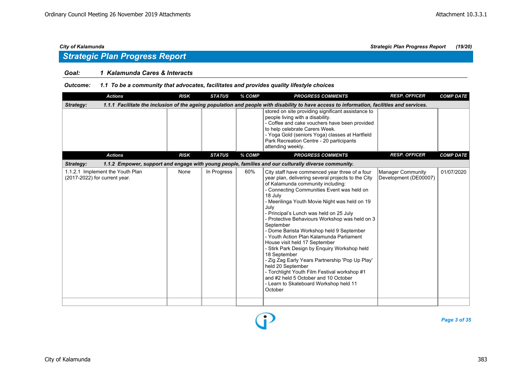## *Strategic Plan Progress Report*

### *Goal: 1 Kalamunda Cares & Interacts*

### *Outcome: 1.1 To be a community that advocates, facilitates and provides quality lifestyle choices*

| <b>Actions</b>                                                                                                                                          | <b>RISK</b> | <b>STATUS</b> | % COMP | <b>PROGRESS COMMENTS</b>                                                                                                                                                                                                                                                                                                                                                                                                                                                                                                                                                                                                                                                                                                                                                            | <b>RESP. OFFICER</b>                              | <b>COMP DATE</b> |  |  |  |  |
|---------------------------------------------------------------------------------------------------------------------------------------------------------|-------------|---------------|--------|-------------------------------------------------------------------------------------------------------------------------------------------------------------------------------------------------------------------------------------------------------------------------------------------------------------------------------------------------------------------------------------------------------------------------------------------------------------------------------------------------------------------------------------------------------------------------------------------------------------------------------------------------------------------------------------------------------------------------------------------------------------------------------------|---------------------------------------------------|------------------|--|--|--|--|
| 1.1.1 Facilitate the inclusion of the ageing population and people with disability to have access to information, facilities and services.<br>Strategy: |             |               |        |                                                                                                                                                                                                                                                                                                                                                                                                                                                                                                                                                                                                                                                                                                                                                                                     |                                                   |                  |  |  |  |  |
|                                                                                                                                                         |             |               |        | stored on site providing significant assistance to<br>people living with a disability.<br>- Coffee and cake vouchers have been provided<br>to help celebrate Carers Week.<br>- Yoga Gold (seniors Yoga) classes at Hartfield<br>Park Recreation Centre - 20 participants<br>attending weekly.                                                                                                                                                                                                                                                                                                                                                                                                                                                                                       |                                                   |                  |  |  |  |  |
| <b>Actions</b>                                                                                                                                          | <b>RISK</b> | <b>STATUS</b> | % COMP | <b>PROGRESS COMMENTS</b>                                                                                                                                                                                                                                                                                                                                                                                                                                                                                                                                                                                                                                                                                                                                                            | <b>RESP. OFFICER</b>                              | <b>COMP DATE</b> |  |  |  |  |
| Strategy:                                                                                                                                               |             |               |        | 1.1.2 Empower, support and engage with young people, families and our culturally diverse community.                                                                                                                                                                                                                                                                                                                                                                                                                                                                                                                                                                                                                                                                                 |                                                   |                  |  |  |  |  |
| 1.1.2.1 Implement the Youth Plan<br>(2017-2022) for current year.                                                                                       | None        | In Progress   | 60%    | City staff have commenced year three of a four<br>year plan, delivering several projects to the City<br>of Kalamunda community including:<br>- Connecting Communities Event was held on<br>18 July<br>- Meerilinga Youth Movie Night was held on 19<br>July<br>- Principal's Lunch was held on 25 July<br>- Protective Behaviours Workshop was held on 3<br>September<br>- Dome Barista Workshop held 9 September<br>- Youth Action Plan Kalamunda Parliament<br>House visit held 17 September<br>- Stirk Park Design by Enquiry Workshop held<br>18 September<br>- Zig Zag Early Years Partnership 'Pop Up Play'<br>held 20 September<br>- Torchlight Youth Film Festival workshop #1<br>and #2 held 5 October and 10 October<br>- Learn to Skateboard Workshop held 11<br>October | <b>Manager Community</b><br>Development (DE00007) | 01/07/2020       |  |  |  |  |
|                                                                                                                                                         |             |               |        |                                                                                                                                                                                                                                                                                                                                                                                                                                                                                                                                                                                                                                                                                                                                                                                     |                                                   |                  |  |  |  |  |

*Page 3 of 35*

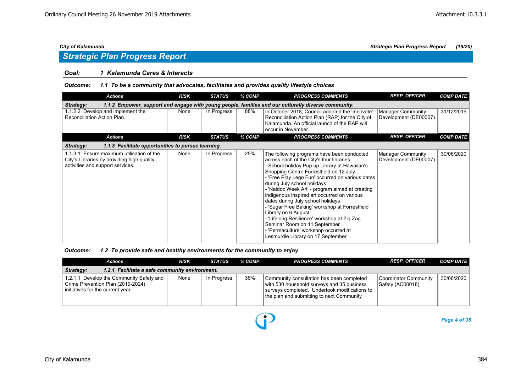## *Strategic Plan Progress Report*

### *Goal: 1 Kalamunda Cares & Interacts*

### *Outcome: 1.1 To be a community that advocates, facilitates and provides quality lifestyle choices*

| <b>Actions</b>                                                                                                              | <b>RISK</b> | <b>STATUS</b> | % COMP | <b>PROGRESS COMMENTS</b>                                                                                                                                                                                                                                                                                                                                                                                                                                                                                                                                                                                                                            | <b>RESP. OFFICER</b>                              | <b>COMP DATE</b> |  |  |  |
|-----------------------------------------------------------------------------------------------------------------------------|-------------|---------------|--------|-----------------------------------------------------------------------------------------------------------------------------------------------------------------------------------------------------------------------------------------------------------------------------------------------------------------------------------------------------------------------------------------------------------------------------------------------------------------------------------------------------------------------------------------------------------------------------------------------------------------------------------------------------|---------------------------------------------------|------------------|--|--|--|
| 1.1.2 Empower, support and engage with young people, families and our culturally diverse community.<br><b>Strategy:</b>     |             |               |        |                                                                                                                                                                                                                                                                                                                                                                                                                                                                                                                                                                                                                                                     |                                                   |                  |  |  |  |
| 1.1.2.2 Develop and implement the<br>Reconciliation Action Plan.                                                            | None        | In Progress   | 88%    | In October 2018, Council adopted the 'Innovate'<br>Reconciliation Action Plan (RAP) for the City of<br>Kalamunda. An official launch of the RAP will<br>occur in November.                                                                                                                                                                                                                                                                                                                                                                                                                                                                          | Manager Community<br>Development (DE00007)        | 31/12/2019       |  |  |  |
| <b>Actions</b>                                                                                                              | <b>RISK</b> | <b>STATUS</b> | % COMP | <b>PROGRESS COMMENTS</b>                                                                                                                                                                                                                                                                                                                                                                                                                                                                                                                                                                                                                            | <b>RESP. OFFICER</b>                              | <b>COMP DATE</b> |  |  |  |
| Strategy:<br>1.1.3 Facilitate opportunities to pursue learning.                                                             |             |               |        |                                                                                                                                                                                                                                                                                                                                                                                                                                                                                                                                                                                                                                                     |                                                   |                  |  |  |  |
| 1.1.3.1 Ensure maximum utilisation of the<br>City's Libraries by providing high quality<br>activities and support services. | None        | In Progress   | 25%    | The following programs have been conducted<br>across each of the City's four libraries:<br>- School holiday Pop up Library at Hawaiian's<br>Shopping Centre Forrestfield on 12 July<br>- 'Free Play Lego Fun' occurred on various dates<br>during July school holidays<br>- 'Naidoc Week Art' - program aimed at creating<br>indigenous inspired art occurred on various<br>dates during July school holidays<br>- 'Sugar Free Baking' workshop at Forrestfield<br>Library on 6 August<br>- 'Lifelong Resilience' workshop at Zig Zag<br>Seminar Room on 11 September<br>- 'Permaculture' workshop occurred at<br>Lesmurdie Library on 17 September | <b>Manager Community</b><br>Development (DE00007) | 30/06/2020       |  |  |  |

### *Outcome: 1.2 To provide safe and healthy environments for the community to enjoy*

|                                                             | Actions                                                                                                            | <b>RISK</b> | <b>STATUS</b> | % COMP | <b>PROGRESS COMMENTS</b>                                                                                                                                                              | <b>RESP. OFFICER</b>                      | <b>COMP DATE</b> |  |  |
|-------------------------------------------------------------|--------------------------------------------------------------------------------------------------------------------|-------------|---------------|--------|---------------------------------------------------------------------------------------------------------------------------------------------------------------------------------------|-------------------------------------------|------------------|--|--|
| 1.2.1 Facilitate a safe community environment.<br>Strategy: |                                                                                                                    |             |               |        |                                                                                                                                                                                       |                                           |                  |  |  |
|                                                             | 1.2.1.1 Develop the Community Safety and<br>Crime Prevention Plan (2019-2024)<br>initiatives for the current year. | None        | In Progress   | 36%    | Community consultation has been completed<br>with 530 household surveys and 35 business<br>surveys completed. Undertook modifications to<br>the plan and submitting to next Community | Coordinator Community<br>Safety (AC00018) | 30/06/2020       |  |  |

 $\bf{D}$ 

*Page 4 of 35*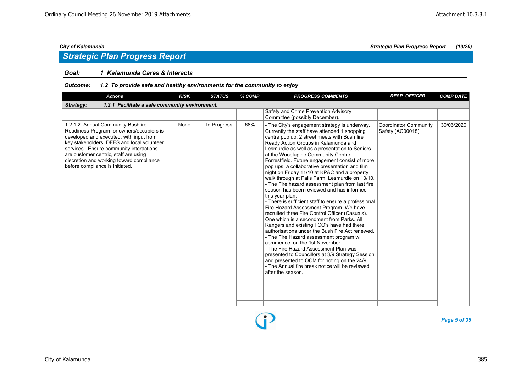### *Goal: 1 Kalamunda Cares & Interacts*

### *Outcome: 1.2 To provide safe and healthy environments for the community to enjoy*

| <b>Actions</b>                                                                                                                                                                                                                                                                                                                             | <b>RISK</b> | <b>STATUS</b> | % COMP | <b>PROGRESS COMMENTS</b>                                                                                                                                                                                                                                                                                                                                                                                                                                                                                                                                                                                                                                                                                                                                                                                                                                                                                                                                                                                                                                                                                                                                                                                        | <b>RESP. OFFICER</b>                      | <b>COMP DATE</b> |  |  |  |  |
|--------------------------------------------------------------------------------------------------------------------------------------------------------------------------------------------------------------------------------------------------------------------------------------------------------------------------------------------|-------------|---------------|--------|-----------------------------------------------------------------------------------------------------------------------------------------------------------------------------------------------------------------------------------------------------------------------------------------------------------------------------------------------------------------------------------------------------------------------------------------------------------------------------------------------------------------------------------------------------------------------------------------------------------------------------------------------------------------------------------------------------------------------------------------------------------------------------------------------------------------------------------------------------------------------------------------------------------------------------------------------------------------------------------------------------------------------------------------------------------------------------------------------------------------------------------------------------------------------------------------------------------------|-------------------------------------------|------------------|--|--|--|--|
| Strategy:<br>1.2.1 Facilitate a safe community environment.                                                                                                                                                                                                                                                                                |             |               |        |                                                                                                                                                                                                                                                                                                                                                                                                                                                                                                                                                                                                                                                                                                                                                                                                                                                                                                                                                                                                                                                                                                                                                                                                                 |                                           |                  |  |  |  |  |
|                                                                                                                                                                                                                                                                                                                                            |             |               |        | Safety and Crime Prevention Advisory<br>Committee (possibly December).                                                                                                                                                                                                                                                                                                                                                                                                                                                                                                                                                                                                                                                                                                                                                                                                                                                                                                                                                                                                                                                                                                                                          |                                           |                  |  |  |  |  |
| 1.2.1.2 Annual Community Bushfire<br>Readiness Program for owners/occupiers is<br>developed and executed, with input from<br>key stakeholders, DFES and local volunteer<br>services. Ensure community interactions<br>are customer centric, staff are using<br>discretion and working toward compliance<br>before compliance is initiated. | None        | In Progress   | 68%    | - The City's engagement strategy is underway.<br>Currently the staff have attended 1 shopping<br>centre pop up, 2 street meets with Bush fire<br>Ready Action Groups in Kalamunda and<br>Lesmurdie as well as a presentation to Seniors<br>at the Woodlupine Community Centre<br>Forrestfield. Future engagement consist of more<br>pop ups, a collaborative presentation and film<br>night on Friday 11/10 at KPAC and a property<br>walk through at Falls Farm, Lesmurdie on 13/10.<br>- The Fire hazard assessment plan from last fire<br>season has been reviewed and has informed<br>this year plan.<br>- There is sufficient staff to ensure a professional<br>Fire Hazard Assessment Program. We have<br>recruited three Fire Control Officer (Casuals).<br>One which is a secondment from Parks, All<br>Rangers and existing FCO's have had there<br>authorisations under the Bush Fire Act renewed.<br>- The Fire Hazard assessment program will<br>commence on the 1st November.<br>- The Fire Hazard Assessment Plan was<br>presented to Councillors at 3/9 Strategy Session<br>and presented to OCM for noting on the 24/9.<br>- The Annual fire break notice will be reviewed<br>after the season. | Coordinator Community<br>Safety (AC00018) | 30/06/2020       |  |  |  |  |
|                                                                                                                                                                                                                                                                                                                                            |             |               |        |                                                                                                                                                                                                                                                                                                                                                                                                                                                                                                                                                                                                                                                                                                                                                                                                                                                                                                                                                                                                                                                                                                                                                                                                                 |                                           |                  |  |  |  |  |

D

*Page 5 of 35*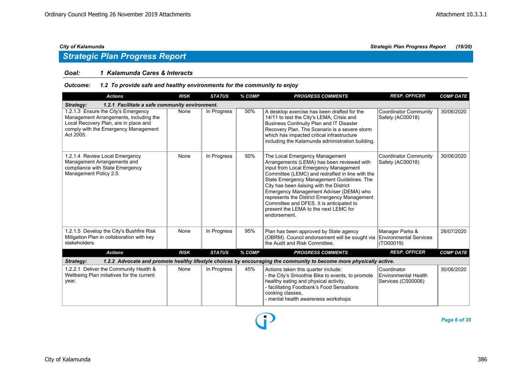### *Goal: 1 Kalamunda Cares & Interacts*

### *Outcome: 1.2 To provide safe and healthy environments for the community to enjoy*

| <b>Actions</b>                                                                                                                                                              | <b>RISK</b> | <b>STATUS</b> | % COMP | <b>PROGRESS COMMENTS</b>                                                                                                                                                                                                                                                                                                                                                                                                                                           | <b>RESP. OFFICER</b>                                             | <b>COMP DATE</b> |  |  |  |  |
|-----------------------------------------------------------------------------------------------------------------------------------------------------------------------------|-------------|---------------|--------|--------------------------------------------------------------------------------------------------------------------------------------------------------------------------------------------------------------------------------------------------------------------------------------------------------------------------------------------------------------------------------------------------------------------------------------------------------------------|------------------------------------------------------------------|------------------|--|--|--|--|
| 1.2.1 Facilitate a safe community environment.<br>Strategy:                                                                                                                 |             |               |        |                                                                                                                                                                                                                                                                                                                                                                                                                                                                    |                                                                  |                  |  |  |  |  |
| 1.2.1.3 Ensure the City's Emergency<br>Management Arrangements, including the<br>Local Recovery Plan, are in place and<br>comply with the Emergency Management<br>Act 2005. | None        | In Progress   | 50%    | A desktop exercise has been drafted for the<br>14/11 to test the City's LEMA, Crisis and<br><b>Business Continuity Plan and IT Disaster</b><br>Recovery Plan. The Scenario is a severe storm<br>which has impacted critical infrastructure<br>including the Kalamunda administration building.                                                                                                                                                                     | <b>Coordinator Community</b><br>Safety (AC00018)                 | 30/06/2020       |  |  |  |  |
| 1.2.1.4 Review Local Emergency<br>Management Arrangements and<br>compliance with State Emergency<br>Management Policy 2.5.                                                  | None        | In Progress   | 50%    | The Local Emergency Management<br>Arrangements (LEMA) has been reviewed with<br>input from Local Emergency Management<br>Committee (LEMC) and redrafted in line with the<br>State Emergency Management Guidelines. The<br>City has been liaising with the District<br>Emergency Management Adviser (DEMA) who<br>represents the District Emergency Management<br>Committee and DFES. It is anticipated to<br>present the LEMA to the next LEMC for<br>endorsement. | <b>Coordinator Community</b><br>Safety (AC00018)                 | 30/06/2020       |  |  |  |  |
| 1.2.1.5 Develop the City's Bushfire Risk<br>Mitigation Plan in collaboration with key<br>stakeholders.                                                                      | None        | In Progress   | 95%    | Plan has been approved by State agency<br>(OBRM). Council endorsement will be sought via<br>the Audit and Risk Committee.                                                                                                                                                                                                                                                                                                                                          | Manager Parks &<br><b>Environmental Services</b><br>(TO00019)    | 26/07/2020       |  |  |  |  |
| <b>Actions</b>                                                                                                                                                              | <b>RISK</b> | <b>STATUS</b> | % COMP | <b>PROGRESS COMMENTS</b>                                                                                                                                                                                                                                                                                                                                                                                                                                           | <b>RESP. OFFICER</b>                                             | <b>COMP DATE</b> |  |  |  |  |
| Strategy:                                                                                                                                                                   |             |               |        | 1.2.2 Advocate and promote healthy lifestyle choices by encouraging the community to become more physically active.                                                                                                                                                                                                                                                                                                                                                |                                                                  |                  |  |  |  |  |
| 1.2.2.1 Deliver the Community Health &<br>Wellbeing Plan initiatives for the current<br>year.                                                                               | None        | In Progress   | 45%    | Actions taken this quarter include:<br>- the City's Smoothie Bike to events, to promote<br>healthy eating and physical activity,<br>- facilitating Foodbank's Food Sensations<br>cooking classes,<br>- mental health awareness workshops                                                                                                                                                                                                                           | Coordinator<br><b>Environmental Health</b><br>Services (CS00006) | 30/06/2020       |  |  |  |  |

D

*Page 6 of 35*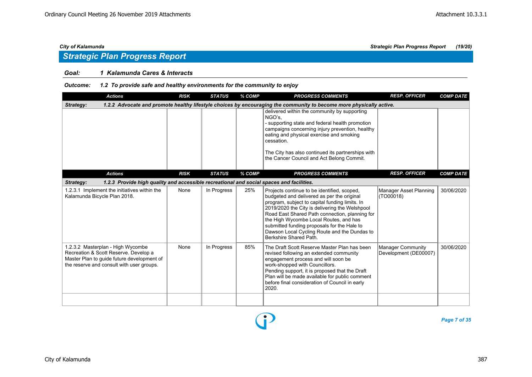### *Goal: 1 Kalamunda Cares & Interacts*

### *Outcome: 1.2 To provide safe and healthy environments for the community to enjoy*

| <b>Actions</b>                                                                                                                                                        | <b>RISK</b> | <b>STATUS</b> | % COMP | <b>PROGRESS COMMENTS</b>                                                                                                                                                                                                                                                                                                                                                                                           | <b>RESP. OFFICER</b>                              | <b>COMP DATE</b> |  |  |  |  |
|-----------------------------------------------------------------------------------------------------------------------------------------------------------------------|-------------|---------------|--------|--------------------------------------------------------------------------------------------------------------------------------------------------------------------------------------------------------------------------------------------------------------------------------------------------------------------------------------------------------------------------------------------------------------------|---------------------------------------------------|------------------|--|--|--|--|
| 1.2.2 Advocate and promote healthy lifestyle choices by encouraging the community to become more physically active.<br>Strategy:                                      |             |               |        |                                                                                                                                                                                                                                                                                                                                                                                                                    |                                                   |                  |  |  |  |  |
|                                                                                                                                                                       |             |               |        | delivered within the community by supporting<br>NGO's,<br>- supporting state and federal health promotion<br>campaigns concerning injury prevention, healthy<br>eating and physical exercise and smoking<br>cessation.<br>The City has also continued its partnerships with<br>the Cancer Council and Act Belong Commit.                                                                                           |                                                   |                  |  |  |  |  |
| <b>Actions</b>                                                                                                                                                        | <b>RISK</b> | <b>STATUS</b> | % COMP | <b>PROGRESS COMMENTS</b>                                                                                                                                                                                                                                                                                                                                                                                           | <b>RESP. OFFICER</b>                              | <b>COMP DATE</b> |  |  |  |  |
| 1.2.3 Provide high quality and accessible recreational and social spaces and facilities.<br>Strategy:                                                                 |             |               |        |                                                                                                                                                                                                                                                                                                                                                                                                                    |                                                   |                  |  |  |  |  |
| 1.2.3.1 Implement the initiatives within the<br>Kalamunda Bicycle Plan 2018.                                                                                          | None        | In Progress   | 25%    | Projects continue to be identified, scoped,<br>budgeted and delivered as per the original<br>program, subject to capital funding limits. In<br>2019/2020 the City is delivering the Welshpool<br>Road East Shared Path connection, planning for<br>the High Wycombe Local Routes, and has<br>submitted funding proposals for the Hale to<br>Dawson Local Cycling Route and the Dundas to<br>Berkshire Shared Path. | Manager Asset Planning<br>(TO00018)               | 30/06/2020       |  |  |  |  |
| 1.2.3.2 Masterplan - High Wycombe<br>Recreation & Scott Reserve. Develop a<br>Master Plan to quide future development of<br>the reserve and consult with user groups. | None        | In Progress   | 85%    | The Draft Scott Reserve Master Plan has been<br>revised following an extended community<br>engagement process and will soon be<br>work-shopped with Councillors.<br>Pending support, it is proposed that the Draft<br>Plan will be made available for public comment<br>before final consideration of Council in early<br>2020.                                                                                    | <b>Manager Community</b><br>Development (DE00007) | 30/06/2020       |  |  |  |  |
|                                                                                                                                                                       |             |               |        |                                                                                                                                                                                                                                                                                                                                                                                                                    |                                                   |                  |  |  |  |  |

P

*Page 7 of 35*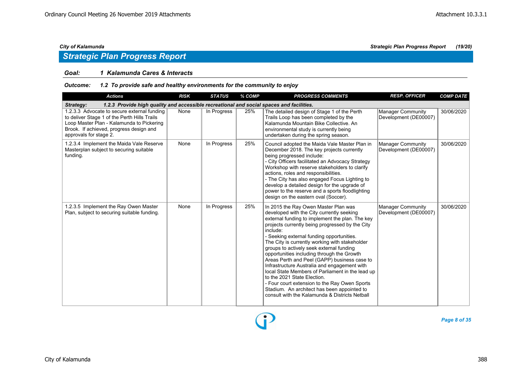## *Strategic Plan Progress Report*

### *Goal: 1 Kalamunda Cares & Interacts*

### *Outcome: 1.2 To provide safe and healthy environments for the community to enjoy*

| <b>Actions</b>                                                                                                                                                                                                | <b>RISK</b> | <b>STATUS</b> | % COMP | <b>PROGRESS COMMENTS</b>                                                                                                                                                                                                                                                                                                                                                                                                                                                                                                                                                                                                                                                                                                          | <b>RESP. OFFICER</b>                              | <b>COMP DATE</b> |  |  |  |  |
|---------------------------------------------------------------------------------------------------------------------------------------------------------------------------------------------------------------|-------------|---------------|--------|-----------------------------------------------------------------------------------------------------------------------------------------------------------------------------------------------------------------------------------------------------------------------------------------------------------------------------------------------------------------------------------------------------------------------------------------------------------------------------------------------------------------------------------------------------------------------------------------------------------------------------------------------------------------------------------------------------------------------------------|---------------------------------------------------|------------------|--|--|--|--|
| 1.2.3 Provide high quality and accessible recreational and social spaces and facilities.<br>Strategy:                                                                                                         |             |               |        |                                                                                                                                                                                                                                                                                                                                                                                                                                                                                                                                                                                                                                                                                                                                   |                                                   |                  |  |  |  |  |
| 1.2.3.3 Advocate to secure external funding<br>to deliver Stage 1 of the Perth Hills Trails<br>Loop Master Plan - Kalamunda to Pickering<br>Brook. If achieved, progress design and<br>approvals for stage 2. | None        | In Progress   | 25%    | The detailed design of Stage 1 of the Perth<br>Trails Loop has been completed by the<br>Kalamunda Mountain Bike Collective, An<br>environmental study is currently being<br>undertaken during the spring season.                                                                                                                                                                                                                                                                                                                                                                                                                                                                                                                  | Manager Community<br>Development (DE00007)        | 30/06/2020       |  |  |  |  |
| 1.2.3.4 Implement the Maida Vale Reserve<br>Masterplan subject to securing suitable<br>funding.                                                                                                               | None        | In Progress   | 25%    | Council adopted the Maida Vale Master Plan in<br>December 2018. The key projects currently<br>being progressed include:<br>- City Officers facilitated an Advocacy Strategy<br>Workshop with reserve stakeholders to clarify<br>actions, roles and responsibilities.<br>- The City has also engaged Focus Lighting to<br>develop a detailed design for the upgrade of<br>power to the reserve and a sports floodlighting<br>design on the eastern oval (Soccer).                                                                                                                                                                                                                                                                  | <b>Manager Community</b><br>Development (DE00007) | 30/06/2020       |  |  |  |  |
| 1.2.3.5 Implement the Ray Owen Master<br>Plan, subject to securing suitable funding.                                                                                                                          | None        | In Progress   | 25%    | In 2015 the Ray Owen Master Plan was<br>developed with the City currently seeking<br>external funding to implement the plan. The key<br>projects currently being progressed by the City<br>include:<br>- Seeking external funding opportunities.<br>The City is currently working with stakeholder<br>groups to actively seek external funding<br>opportunities including through the Growth<br>Areas Perth and Peel (GAPP) business case to<br>Infrastructure Australia and engagement with<br>local State Members of Parliament in the lead up<br>to the 2021 State Election.<br>- Four court extension to the Ray Owen Sports<br>Stadium. An architect has been appointed to<br>consult with the Kalamunda & Districts Netball | <b>Manager Community</b><br>Development (DE00007) | 30/06/2020       |  |  |  |  |

*Page 8 of 35*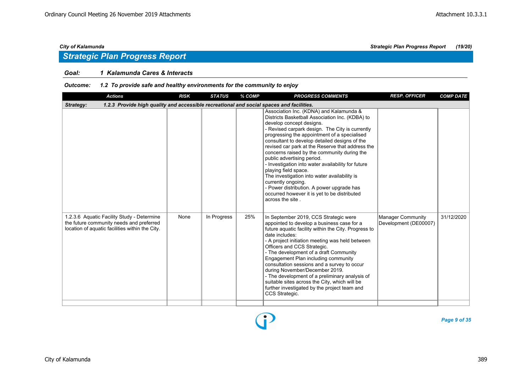### *Goal: 1 Kalamunda Cares & Interacts*

### *Outcome: 1.2 To provide safe and healthy environments for the community to enjoy*

| <b>Actions</b>                                                                                                                            | <b>RISK</b> | <b>STATUS</b> | % COMP | <b>PROGRESS COMMENTS</b>                                                                                                                                                                                                                                                                                                                                                                                                                                                                                                                                                                                                                                                         | <b>RESP. OFFICER</b>                              | <b>COMP DATE</b> |
|-------------------------------------------------------------------------------------------------------------------------------------------|-------------|---------------|--------|----------------------------------------------------------------------------------------------------------------------------------------------------------------------------------------------------------------------------------------------------------------------------------------------------------------------------------------------------------------------------------------------------------------------------------------------------------------------------------------------------------------------------------------------------------------------------------------------------------------------------------------------------------------------------------|---------------------------------------------------|------------------|
| 1.2.3 Provide high quality and accessible recreational and social spaces and facilities.<br>Strategy:                                     |             |               |        |                                                                                                                                                                                                                                                                                                                                                                                                                                                                                                                                                                                                                                                                                  |                                                   |                  |
|                                                                                                                                           |             |               |        | Association Inc. (KDNA) and Kalamunda &<br>Districts Basketball Association Inc. (KDBA) to<br>develop concept designs.<br>- Revised carpark design. The City is currently<br>progressing the appointment of a specialised<br>consultant to develop detailed designs of the<br>revised car park at the Reserve that address the<br>concerns raised by the community during the<br>public advertising period.<br>- Investigation into water availability for future<br>playing field space.<br>The investigation into water availability is<br>currently ongoing.<br>- Power distribution. A power upgrade has<br>occurred however it is yet to be distributed<br>across the site. |                                                   |                  |
| 1.2.3.6 Aquatic Facility Study - Determine<br>the future community needs and preferred<br>location of aquatic facilities within the City. | None        | In Progress   | 25%    | In September 2019, CCS Strategic were<br>appointed to develop a business case for a<br>future aquatic facility within the City. Progress to<br>date includes:<br>- A project initiation meeting was held between<br>Officers and CCS Strategic.<br>- The development of a draft Community<br>Engagement Plan including community<br>consultation sessions and a survey to occur<br>during November/December 2019.<br>- The development of a preliminary analysis of<br>suitable sites across the City, which will be<br>further investigated by the project team and<br>CCS Strategic.                                                                                           | <b>Manager Community</b><br>Development (DE00007) | 31/12/2020       |

Ŧ

*Page 9 of 35*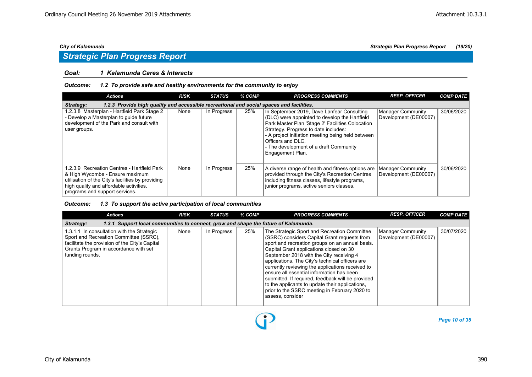### *Goal: 1 Kalamunda Cares & Interacts*

### *Outcome: 1.2 To provide safe and healthy environments for the community to enjoy*

| <b>Actions</b>                                                                                                                                                                                                   | <b>RISK</b>                                                                              | <b>STATUS</b> | % COMP | <b>PROGRESS COMMENTS</b>                                                                                                                                                                                                                                                                                                        | <b>RESP. OFFICER</b>                       | <b>COMP DATE</b> |  |  |  |  |  |
|------------------------------------------------------------------------------------------------------------------------------------------------------------------------------------------------------------------|------------------------------------------------------------------------------------------|---------------|--------|---------------------------------------------------------------------------------------------------------------------------------------------------------------------------------------------------------------------------------------------------------------------------------------------------------------------------------|--------------------------------------------|------------------|--|--|--|--|--|
| Strategy:                                                                                                                                                                                                        | 1.2.3 Provide high quality and accessible recreational and social spaces and facilities. |               |        |                                                                                                                                                                                                                                                                                                                                 |                                            |                  |  |  |  |  |  |
| 1.2.3.8 Masterplan - Hartfield Park Stage 2<br>- Develop a Masterplan to quide future<br>development of the Park and consult with<br>user groups.                                                                | None                                                                                     | In Progress   | 25%    | In September 2019, Dave Lanfear Consulting<br>(DLC) were appointed to develop the Hartfield<br>Park Master Plan 'Stage 2' Facilities Colocation<br>Strategy. Progress to date includes:<br>- A project initiation meeting being held between<br>Officers and DLC.<br>- The development of a draft Community<br>Engagement Plan. | Manager Community<br>Development (DE00007) | 30/06/2020       |  |  |  |  |  |
| 1.2.3.9 Recreation Centres - Hartfield Park<br>& High Wycombe - Ensure maximum<br>utilisation of the City's facilities by providing<br>high quality and affordable activities,<br>programs and support services. | None                                                                                     | In Progress   | 25%    | A diverse range of health and fitness options are<br>provided through the City's Recreation Centres<br>including fitness classes, lifestyle programs,<br>junior programs, active seniors classes.                                                                                                                               | Manager Community<br>Development (DE00007) | 30/06/2020       |  |  |  |  |  |

### *Outcome: 1.3 To support the active participation of local communities*

| <b>Actions</b>                                                                                                                                                                                     | <b>RISK</b>                                                                         | <b>STATUS</b> | % COMP | <b>PROGRESS COMMENTS</b>                                                                                                                                                                                                                                                                                                                                                                                                                                                                                                                                                | <b>RESP. OFFICER</b>                       | <b>COMP DATE</b> |  |  |  |  |
|----------------------------------------------------------------------------------------------------------------------------------------------------------------------------------------------------|-------------------------------------------------------------------------------------|---------------|--------|-------------------------------------------------------------------------------------------------------------------------------------------------------------------------------------------------------------------------------------------------------------------------------------------------------------------------------------------------------------------------------------------------------------------------------------------------------------------------------------------------------------------------------------------------------------------------|--------------------------------------------|------------------|--|--|--|--|
| Strategy:                                                                                                                                                                                          | 1.3.1 Support local communities to connect, grow and shape the future of Kalamunda. |               |        |                                                                                                                                                                                                                                                                                                                                                                                                                                                                                                                                                                         |                                            |                  |  |  |  |  |
| 1.3.1.1 In consultation with the Strategic<br>Sport and Recreation Committee (SSRC),<br>facilitate the provision of the City's Capital<br>Grants Program in accordance with set<br>funding rounds. | None                                                                                | In Progress   | 25%    | The Strategic Sport and Recreation Committee<br>(SSRC) considers Capital Grant requests from<br>sport and recreation groups on an annual basis.<br>Capital Grant applications closed on 30<br>September 2018 with the City receiving 4<br>applications. The City's technical officers are<br>currently reviewing the applications received to<br>ensure all essential information has been<br>submitted. If required, feedback will be provided<br>to the applicants to update their applications,<br>prior to the SSRC meeting in February 2020 to<br>assess, consider | Manager Community<br>Development (DE00007) | 30/07/2020       |  |  |  |  |

 $\bf{D}$ 

*Page 10 of 35*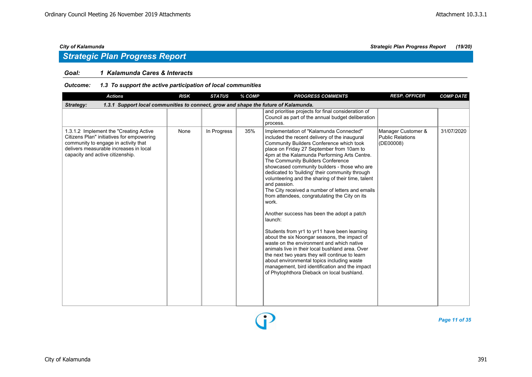## *Strategic Plan Progress Report*

### *Goal: 1 Kalamunda Cares & Interacts*

### *Outcome: 1.3 To support the active participation of local communities*

| <b>Actions</b>                                                                                                                                                                                             | <b>RISK</b> | <b>STATUS</b> | % COMP | <b>PROGRESS COMMENTS</b>                                                                                                                                                                                                                                                                                                                                                                                                                                                                                                                                                                                                                                                                                                                                                                                                                                                                                                                                                                                                | <b>RESP. OFFICER</b>                                       | <b>COMP DATE</b> |  |  |  |  |
|------------------------------------------------------------------------------------------------------------------------------------------------------------------------------------------------------------|-------------|---------------|--------|-------------------------------------------------------------------------------------------------------------------------------------------------------------------------------------------------------------------------------------------------------------------------------------------------------------------------------------------------------------------------------------------------------------------------------------------------------------------------------------------------------------------------------------------------------------------------------------------------------------------------------------------------------------------------------------------------------------------------------------------------------------------------------------------------------------------------------------------------------------------------------------------------------------------------------------------------------------------------------------------------------------------------|------------------------------------------------------------|------------------|--|--|--|--|
| 1.3.1 Support local communities to connect, grow and shape the future of Kalamunda.<br>Strategy:                                                                                                           |             |               |        |                                                                                                                                                                                                                                                                                                                                                                                                                                                                                                                                                                                                                                                                                                                                                                                                                                                                                                                                                                                                                         |                                                            |                  |  |  |  |  |
|                                                                                                                                                                                                            |             |               |        | and prioritise projects for final consideration of<br>Council as part of the annual budget deliberation<br>process.                                                                                                                                                                                                                                                                                                                                                                                                                                                                                                                                                                                                                                                                                                                                                                                                                                                                                                     |                                                            |                  |  |  |  |  |
| 1.3.1.2 Implement the "Creating Active"<br>Citizens Plan" initiatives for empowering<br>community to engage in activity that<br>delivers measurable increases in local<br>capacity and active citizenship. | None        | In Progress   | 35%    | Implementation of "Kalamunda Connected"<br>included the recent delivery of the inaugural<br>Community Builders Conference which took<br>place on Friday 27 September from 10am to<br>4pm at the Kalamunda Performing Arts Centre.<br>The Community Builders Conference<br>showcased community builders - those who are<br>dedicated to 'building' their community through<br>volunteering and the sharing of their time, talent<br>and passion.<br>The City received a number of letters and emails<br>from attendees, congratulating the City on its<br>work.<br>Another success has been the adopt a patch<br>launch:<br>Students from yr1 to yr11 have been learning<br>about the six Noongar seasons, the impact of<br>waste on the environment and which native<br>animals live in their local bushland area. Over<br>the next two years they will continue to learn<br>about environmental topics including waste<br>management, bird identification and the impact<br>of Phytophthora Dieback on local bushland. | Manager Customer &<br><b>Public Relations</b><br>(DE00008) | 31/07/2020       |  |  |  |  |

P

*Page 11 of 35*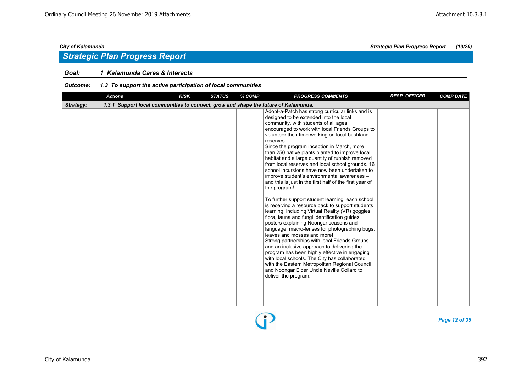### *Goal: 1 Kalamunda Cares & Interacts*

### *Outcome: 1.3 To support the active participation of local communities*

| <b>Actions</b>                                                                                   | <b>RISK</b> | <b>STATUS</b> | % COMP | <b>PROGRESS COMMENTS</b>                                                                                                                                                                                                                                                                                                                                                                                                                                                                                                                                                                                                                                                                                                                                                                                                                                                                                                                                                                                                                                                                                                                                                                                                                                                                                   | <b>RESP. OFFICER</b> | <b>COMP DATE</b> |
|--------------------------------------------------------------------------------------------------|-------------|---------------|--------|------------------------------------------------------------------------------------------------------------------------------------------------------------------------------------------------------------------------------------------------------------------------------------------------------------------------------------------------------------------------------------------------------------------------------------------------------------------------------------------------------------------------------------------------------------------------------------------------------------------------------------------------------------------------------------------------------------------------------------------------------------------------------------------------------------------------------------------------------------------------------------------------------------------------------------------------------------------------------------------------------------------------------------------------------------------------------------------------------------------------------------------------------------------------------------------------------------------------------------------------------------------------------------------------------------|----------------------|------------------|
| 1.3.1 Support local communities to connect, grow and shape the future of Kalamunda.<br>Strategy: |             |               |        |                                                                                                                                                                                                                                                                                                                                                                                                                                                                                                                                                                                                                                                                                                                                                                                                                                                                                                                                                                                                                                                                                                                                                                                                                                                                                                            |                      |                  |
|                                                                                                  |             |               |        | Adopt-a-Patch has strong curricular links and is<br>designed to be extended into the local<br>community, with students of all ages<br>encouraged to work with local Friends Groups to<br>volunteer their time working on local bushland<br>reserves.<br>Since the program inception in March, more<br>than 250 native plants planted to improve local<br>habitat and a large quantity of rubbish removed<br>from local reserves and local school grounds. 16<br>school incursions have now been undertaken to<br>improve student's environmental awareness -<br>and this is just in the first half of the first year of<br>the program!<br>To further support student learning, each school<br>is receiving a resource pack to support students<br>learning, including Virtual Reality (VR) goggles,<br>flora, fauna and fungi identification guides,<br>posters explaining Noongar seasons and<br>language, macro-lenses for photographing bugs,<br>leaves and mosses and more!<br>Strong partnerships with local Friends Groups<br>and an inclusive approach to delivering the<br>program has been highly effective in engaging<br>with local schools. The City has collaborated<br>with the Eastern Metropolitan Regional Council<br>and Noongar Elder Uncle Neville Collard to<br>deliver the program. |                      |                  |



*Page 12 of 35*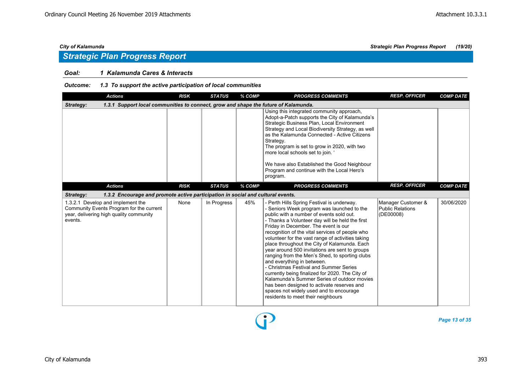### *Goal: 1 Kalamunda Cares & Interacts*

### *Outcome: 1.3 To support the active participation of local communities*

| <b>Actions</b>                                                                                                                      | <b>RISK</b> | <b>STATUS</b> | % COMP | <b>PROGRESS COMMENTS</b>                                                                                                                                                                                                                                                                                                                                                                                                                                                                                                                                                                                                                                                                                                                                                                             | <b>RESP. OFFICER</b>                                       | <b>COMP DATE</b> |
|-------------------------------------------------------------------------------------------------------------------------------------|-------------|---------------|--------|------------------------------------------------------------------------------------------------------------------------------------------------------------------------------------------------------------------------------------------------------------------------------------------------------------------------------------------------------------------------------------------------------------------------------------------------------------------------------------------------------------------------------------------------------------------------------------------------------------------------------------------------------------------------------------------------------------------------------------------------------------------------------------------------------|------------------------------------------------------------|------------------|
| 1.3.1 Support local communities to connect, grow and shape the future of Kalamunda.<br>Strategy:                                    |             |               |        |                                                                                                                                                                                                                                                                                                                                                                                                                                                                                                                                                                                                                                                                                                                                                                                                      |                                                            |                  |
|                                                                                                                                     |             |               |        | Using this integrated community approach,<br>Adopt-a-Patch supports the City of Kalamunda's<br>Strategic Business Plan, Local Environment<br>Strategy and Local Biodiversity Strategy, as well<br>as the Kalamunda Connected - Active Citizens<br>Strategy.<br>The program is set to grow in 2020, with two<br>more local schools set to join.<br>We have also Established the Good Neighbour<br>Program and continue with the Local Hero's<br>program.                                                                                                                                                                                                                                                                                                                                              |                                                            |                  |
| <b>Actions</b>                                                                                                                      | <b>RISK</b> | <b>STATUS</b> | % COMP | <b>PROGRESS COMMENTS</b>                                                                                                                                                                                                                                                                                                                                                                                                                                                                                                                                                                                                                                                                                                                                                                             | <b>RESP. OFFICER</b>                                       | <b>COMP DATE</b> |
| <b>Strategy:</b><br>1.3.2 Encourage and promote active participation in social and cultural events.                                 |             |               |        |                                                                                                                                                                                                                                                                                                                                                                                                                                                                                                                                                                                                                                                                                                                                                                                                      |                                                            |                  |
| 1.3.2.1 Develop and implement the<br>Community Events Program for the current<br>year, delivering high quality community<br>events. | None        | In Progress   | 45%    | - Perth Hills Spring Festival is underway.<br>- Seniors Week program was launched to the<br>public with a number of events sold out.<br>- Thanks a Volunteer day will be held the first<br>Friday in December. The event is our<br>recognition of the vital services of people who<br>volunteer for the vast range of activities taking<br>place throughout the City of Kalamunda. Each<br>year around 500 invitations are sent to groups<br>ranging from the Men's Shed, to sporting clubs<br>and everything in between.<br>- Christmas Festival and Summer Series<br>currently being finalized for 2020. The City of<br>Kalamunda's Summer Series of outdoor movies<br>has been designed to activate reserves and<br>spaces not widely used and to encourage<br>residents to meet their neighbours | Manager Customer &<br><b>Public Relations</b><br>(DE00008) | 30/06/2020       |

*Page 13 of 35*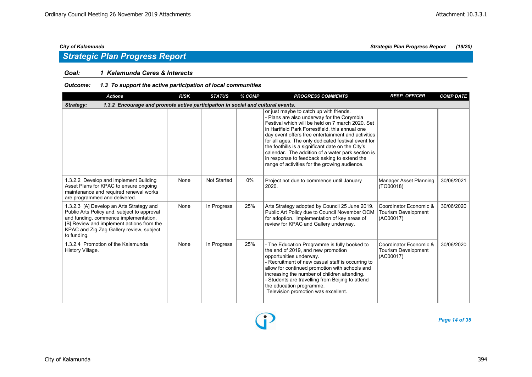### *Goal: 1 Kalamunda Cares & Interacts*

### *Outcome: 1.3 To support the active participation of local communities*

| <b>Actions</b>                                                                                                                                                                                                                           | <b>RISK</b> | <b>STATUS</b>      | % COMP | <b>PROGRESS COMMENTS</b>                                                                                                                                                                                                                                                                                                                                                                                                                                                                                             | <b>RESP. OFFICER</b>                                              | <b>COMP DATE</b> |
|------------------------------------------------------------------------------------------------------------------------------------------------------------------------------------------------------------------------------------------|-------------|--------------------|--------|----------------------------------------------------------------------------------------------------------------------------------------------------------------------------------------------------------------------------------------------------------------------------------------------------------------------------------------------------------------------------------------------------------------------------------------------------------------------------------------------------------------------|-------------------------------------------------------------------|------------------|
| 1.3.2 Encourage and promote active participation in social and cultural events.<br>Strategy:                                                                                                                                             |             |                    |        |                                                                                                                                                                                                                                                                                                                                                                                                                                                                                                                      |                                                                   |                  |
|                                                                                                                                                                                                                                          |             |                    |        | or just maybe to catch up with friends.<br>- Plans are also underway for the Corymbia<br>Festival which will be held on 7 march 2020. Set<br>in Hartfield Park Forrestfield, this annual one<br>day event offers free entertainment and activities<br>for all ages. The only dedicated festival event for<br>the foothills is a significant date on the City's<br>calendar. The addition of a water park section is<br>in response to feedback asking to extend the<br>range of activities for the growing audience. |                                                                   |                  |
| 1.3.2.2 Develop and implement Building<br>Asset Plans for KPAC to ensure ongoing<br>maintenance and required renewal works<br>are programmed and delivered.                                                                              | None        | <b>Not Started</b> | 0%     | Project not due to commence until January<br>2020.                                                                                                                                                                                                                                                                                                                                                                                                                                                                   | Manager Asset Planning<br>(TO00018)                               | 30/06/2021       |
| 1.3.2.3 [A] Develop an Arts Strategy and<br>Public Arts Policy and, subject to approval<br>and funding, commence implementation.<br>[B] Review and implement actions from the<br>KPAC and Zig Zag Gallery review, subject<br>to funding. | None        | In Progress        | 25%    | Arts Strategy adopted by Council 25 June 2019.<br>Public Art Policy due to Council November OCM<br>for adoption. Implementation of key areas of<br>review for KPAC and Gallery underway.                                                                                                                                                                                                                                                                                                                             | Coordinator Economic &<br>Tourism Development<br>(AC00017)        | 30/06/2020       |
| 1.3.2.4 Promotion of the Kalamunda<br>History Village.                                                                                                                                                                                   | None        | In Progress        | 25%    | - The Education Programme is fully booked to<br>the end of 2019, and new promotion<br>opportunities underway.<br>- Recruitment of new casual staff is occurring to<br>allow for continued promotion with schools and<br>increasing the number of children attending.<br>- Students are travelling from Beijing to attend<br>the education programme.<br>Television promotion was excellent.                                                                                                                          | Coordinator Economic &<br><b>Tourism Development</b><br>(AC00017) | 30/06/2020       |

P

*Page 14 of 35*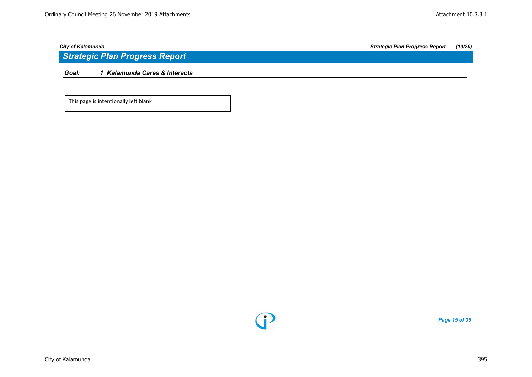*Goal: 1 Kalamunda Cares & Interacts*

This page is intentionally left blank



*Page 15 of 35*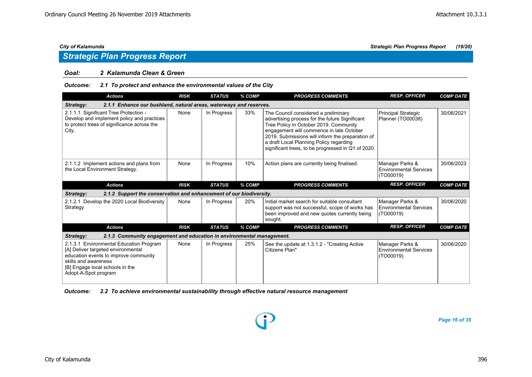### *Goal: 2 Kalamunda Clean & Green*

### *Outcome: 2.1 To protect and enhance the environmental values of the City*

| <b>Actions</b>                                                                                                                                                                                            | <b>RISK</b> | <b>STATUS</b> | % COMP | <b>PROGRESS COMMENTS</b>                                                                                                                                                                                                                                                                                                          | <b>RESP. OFFICER</b>                                          | <b>COMP DATE</b> |
|-----------------------------------------------------------------------------------------------------------------------------------------------------------------------------------------------------------|-------------|---------------|--------|-----------------------------------------------------------------------------------------------------------------------------------------------------------------------------------------------------------------------------------------------------------------------------------------------------------------------------------|---------------------------------------------------------------|------------------|
| 2.1.1 Enhance our bushland, natural areas, waterways and reserves.<br>Strategy:                                                                                                                           |             |               |        |                                                                                                                                                                                                                                                                                                                                   |                                                               |                  |
| 2.1.1.1 Significant Tree Protection -<br>Develop and implement policy and practices<br>to protect trees of significance across the<br>City.                                                               | None        | In Progress   | 33%    | The Council considered a preliminary<br>advertising process for the future Significant<br>Tree Policy in October 2019. Community<br>engagement will commence in late October<br>2019. Submissions will inform the preparation of<br>a draft Local Planning Policy regarding<br>significant trees, to be progressed in Q1 of 2020. | Principal Strategic<br>Planner (TO00038)                      | 30/06/2021       |
| 2.1.1.2 Implement actions and plans from<br>the Local Environment Strategy.                                                                                                                               | None        | In Progress   | 10%    | Action plans are currently being finalised.                                                                                                                                                                                                                                                                                       | Manager Parks &<br><b>Environmental Services</b><br>(TO00019) | 30/06/2023       |
| <b>Actions</b>                                                                                                                                                                                            | <b>RISK</b> | <b>STATUS</b> | % COMP | <b>PROGRESS COMMENTS</b>                                                                                                                                                                                                                                                                                                          | <b>RESP. OFFICER</b>                                          | <b>COMP DATE</b> |
| 2.1.2 Support the conservation and enhancement of our biodiversity.<br>Strategy:                                                                                                                          |             |               |        |                                                                                                                                                                                                                                                                                                                                   |                                                               |                  |
| 2.1.2.1 Develop the 2020 Local Biodiversity<br>Strategy                                                                                                                                                   | None        | In Progress   | 20%    | Initial market search for suitable consultant<br>support was not successful, scope of works has<br>been improved and new quotes currently being<br>sought.                                                                                                                                                                        | Manager Parks &<br><b>Environmental Services</b><br>(TO00019) | 30/06/2020       |
| <b>Actions</b>                                                                                                                                                                                            | <b>RISK</b> | <b>STATUS</b> | % COMP | <b>PROGRESS COMMENTS</b>                                                                                                                                                                                                                                                                                                          | <b>RESP. OFFICER</b>                                          | <b>COMP DATE</b> |
| 2.1.3 Community engagement and education in environmental management.<br><b>Strategy:</b>                                                                                                                 |             |               |        |                                                                                                                                                                                                                                                                                                                                   |                                                               |                  |
| 2.1.3.1 Environmental Education Program<br>[A] Deliver targeted environmental<br>education events to improve community<br>skills and awareness<br>[B] Engage local schools in the<br>Adopt-A-Spot program | None        | In Progress   | 25%    | See the update at 1.3.1.2 - "Creating Active<br>Citizens Plan"                                                                                                                                                                                                                                                                    | Manager Parks &<br>Environmental Services<br>(TO00019)        | 30/06/2020       |

*Outcome: 2.2 To achieve environmental sustainability through effective natural resource management*

*Page 16 of 35*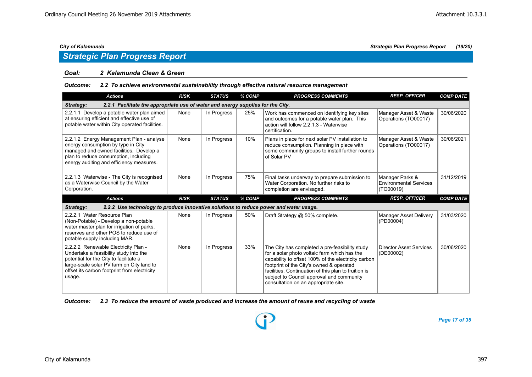## *Strategic Plan Progress Report*

### *Goal: 2 Kalamunda Clean & Green*

### *Outcome: 2.2 To achieve environmental sustainability through effective natural resource management*

| <b>Actions</b>                                                                                                                                                                                                 | <b>RISK</b> | <b>STATUS</b> | % COMP | <b>PROGRESS COMMENTS</b>                                                                                                                                         | <b>RESP. OFFICER</b>                                          | <b>COMP DATE</b> |
|----------------------------------------------------------------------------------------------------------------------------------------------------------------------------------------------------------------|-------------|---------------|--------|------------------------------------------------------------------------------------------------------------------------------------------------------------------|---------------------------------------------------------------|------------------|
| 2.2.1 Facilitate the appropriate use of water and energy supplies for the City.<br>Strategy:                                                                                                                   |             |               |        |                                                                                                                                                                  |                                                               |                  |
| 2.2.1.1 Develop a potable water plan aimed<br>at ensuring efficient and effective use of<br>potable water within City operated facilities.                                                                     | None        | In Progress   | 25%    | Work has commenced on identifying key sites<br>and outcomes for a potable water plan. This<br>action will follow 2.2.1.3 - Waterwise<br>certification.           | Manager Asset & Waste<br>Operations (TO00017)                 | 30/06/2020       |
| 2.2.1.2 Energy Management Plan - analyse<br>energy consumption by type in City<br>managed and owned facilities. Develop a<br>plan to reduce consumption, including<br>energy auditing and efficiency measures. | None        | In Progress   | 10%    | Plans in place for next solar PV installation to<br>reduce consumption. Planning in place with<br>some community groups to install further rounds<br>of Solar PV | Manager Asset & Waste<br>Operations (TO00017)                 | 30/06/2021       |
| 2.2.1.3 Waterwise - The City is recognised<br>as a Waterwise Council by the Water<br>Corporation.                                                                                                              | None        | In Progress   | 75%    | Final tasks underway to prepare submission to<br>Water Corporation. No further risks to<br>completion are envisaged.                                             | Manager Parks &<br><b>Environmental Services</b><br>(TO00019) | 31/12/2019       |
|                                                                                                                                                                                                                |             |               |        |                                                                                                                                                                  |                                                               |                  |
| <b>Actions</b>                                                                                                                                                                                                 | <b>RISK</b> | <b>STATUS</b> | % COMP | <b>PROGRESS COMMENTS</b>                                                                                                                                         | <b>RESP. OFFICER</b>                                          | <b>COMP DATE</b> |
| 2.2.2 Use technology to produce innovative solutions to reduce power and water usage.<br>Strategy:                                                                                                             |             |               |        |                                                                                                                                                                  |                                                               |                  |
| 2.2.2.1 Water Resource Plan<br>(Non-Potable) - Develop a non-potable<br>water master plan for irrigation of parks,<br>reserves and other POS to reduce use of<br>potable supply including MAR.                 | None        | In Progress   | 50%    | Draft Strategy @ 50% complete.                                                                                                                                   | Manager Asset Delivery<br>(PD00004)                           | 31/03/2020       |

*Outcome: 2.3 To reduce the amount of waste produced and increase the amount of reuse and recycling of waste*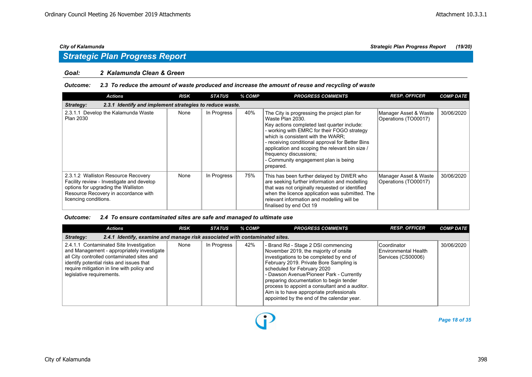### *Goal: 2 Kalamunda Clean & Green*

### *Outcome: 2.3 To reduce the amount of waste produced and increase the amount of reuse and recycling of waste*

| <b>Actions</b>                                                                                                                                                                           | <b>RISK</b> | <b>STATUS</b> | % COMP | <b>PROGRESS COMMENTS</b>                                                                                                                                                                                                                                                                                                                                                                   | <b>RESP. OFFICER</b>                          | <b>COMP DATE</b> |  |  |  |  |
|------------------------------------------------------------------------------------------------------------------------------------------------------------------------------------------|-------------|---------------|--------|--------------------------------------------------------------------------------------------------------------------------------------------------------------------------------------------------------------------------------------------------------------------------------------------------------------------------------------------------------------------------------------------|-----------------------------------------------|------------------|--|--|--|--|
| 2.3.1 Identify and implement strategies to reduce waste.<br>Strategy:                                                                                                                    |             |               |        |                                                                                                                                                                                                                                                                                                                                                                                            |                                               |                  |  |  |  |  |
| 2.3.1.1 Develop the Kalamunda Waste<br><b>Plan 2030</b>                                                                                                                                  | None        | In Progress   | 40%    | The City is progressing the project plan for<br>Waste Plan 2030.<br>Key actions completed last quarter include:<br>- working with EMRC for their FOGO strategy<br>which is consistent with the WARR:<br>- receiving conditional approval for Better Bins<br>application and scoping the relevant bin size /<br>frequency discussions;<br>- Community engagement plan is being<br>prepared. | Manager Asset & Waste<br>Operations (TO00017) | 30/06/2020       |  |  |  |  |
| 2.3.1.2 Walliston Resource Recovery<br>Facility review - Investigate and develop<br>options for upgrading the Walliston<br>Resource Recovery in accordance with<br>licencing conditions. | None        | In Progress   | 75%    | This has been further delayed by DWER who<br>are seeking further information and modelling<br>that was not originally requested or identified<br>when the licence application was submitted. The<br>relevant information and modelling will be<br>finalised by end Oct 19                                                                                                                  | Manager Asset & Waste<br>Operations (TO00017) | 30/06/2020       |  |  |  |  |

### *Outcome: 2.4 To ensure contaminated sites are safe and managed to ultimate use*

| <b>Actions</b>                                                                                                                                                                                                                                             | <b>RISK</b> | <b>STATUS</b> | % COMP | <b>PROGRESS COMMENTS</b>                                                                                                                                                                                                                                                                                                                                                                                                              | <b>RESP. OFFICER</b>                                      | <b>COMP DATE</b> |  |  |  |
|------------------------------------------------------------------------------------------------------------------------------------------------------------------------------------------------------------------------------------------------------------|-------------|---------------|--------|---------------------------------------------------------------------------------------------------------------------------------------------------------------------------------------------------------------------------------------------------------------------------------------------------------------------------------------------------------------------------------------------------------------------------------------|-----------------------------------------------------------|------------------|--|--|--|
| 2.4.1 Identify, examine and manage risk associated with contaminated sites.<br>Strategy:                                                                                                                                                                   |             |               |        |                                                                                                                                                                                                                                                                                                                                                                                                                                       |                                                           |                  |  |  |  |
| 2.4.1.1 Contaminated Site Investigation<br>and Management - appropriately investigate<br>all City controlled contaminated sites and<br>identify potential risks and issues that<br>require mitigation in line with policy and<br>legislative requirements. | None        | In Progress   | 42%    | - Brand Rd - Stage 2 DSI commencing<br>November 2019, the majority of onsite<br>investigations to be completed by end of<br>February 2019. Private Bore Sampling is<br>scheduled for February 2020<br>- Dawson Avenue/Pioneer Park - Currently<br>preparing documentation to begin tender<br>process to appoint a consultant and a auditor.<br>Aim is to have appropriate professionals<br>appointed by the end of the calendar year. | Coordinator<br>Environmental Health<br>Services (CS00006) | 30/06/2020       |  |  |  |

 $\bf{D}$ 

*Page 18 of 35*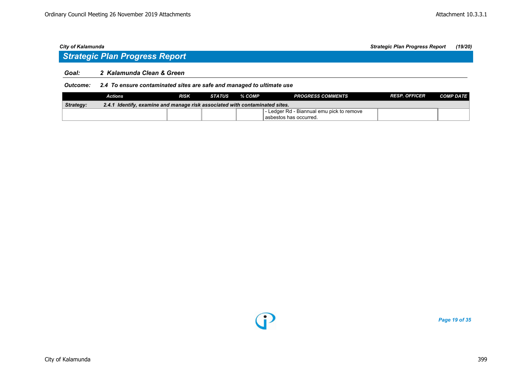## *Strategic Plan Progress Report*

### *Goal: 2 Kalamunda Clean & Green*

*Outcome: 2.4 To ensure contaminated sites are safe and managed to ultimate use*

|           | Actions                                                                     | <b>RISK</b> | <b>STATUS</b> | % COMP | <b>PROGRESS COMMENTS</b>                  | <b>RESP. OFFICER</b> | <b>COMP DATE</b> |  |  |
|-----------|-----------------------------------------------------------------------------|-------------|---------------|--------|-------------------------------------------|----------------------|------------------|--|--|
| Strategy: | 2.4.1 Identify, examine and manage risk associated with contaminated sites. |             |               |        |                                           |                      |                  |  |  |
|           |                                                                             |             |               |        | - Ledger Rd - Biannual emu pick to remove |                      |                  |  |  |
|           |                                                                             |             |               |        | l asbestos has occurred.                  |                      |                  |  |  |



*Page 19 of 35*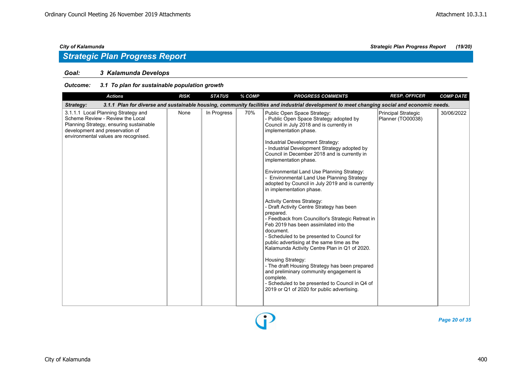### *Goal: 3 Kalamunda Develops*

### *Outcome: 3.1 To plan for sustainable population growth*

| <b>Actions</b>                                                                                                                                                                                | <b>RISK</b> | <b>STATUS</b> | % COMP | <b>PROGRESS COMMENTS</b>                                                                                                                                                                                                                                                                                                                                                                                                                                                                                                                                                                                                                                                                                                                                                                                                                                                                                                                                                                                                                                                  | <b>RESP. OFFICER</b>                     | <b>COMP DATE</b> |
|-----------------------------------------------------------------------------------------------------------------------------------------------------------------------------------------------|-------------|---------------|--------|---------------------------------------------------------------------------------------------------------------------------------------------------------------------------------------------------------------------------------------------------------------------------------------------------------------------------------------------------------------------------------------------------------------------------------------------------------------------------------------------------------------------------------------------------------------------------------------------------------------------------------------------------------------------------------------------------------------------------------------------------------------------------------------------------------------------------------------------------------------------------------------------------------------------------------------------------------------------------------------------------------------------------------------------------------------------------|------------------------------------------|------------------|
| Strategy:                                                                                                                                                                                     |             |               |        | 3.1.1 Plan for diverse and sustainable housing, community facilities and industrial development to meet changing social and economic needs.                                                                                                                                                                                                                                                                                                                                                                                                                                                                                                                                                                                                                                                                                                                                                                                                                                                                                                                               |                                          |                  |
| 3.1.1.1 Local Planning Strategy and<br>Scheme Review - Review the Local<br>Planning Strategy, ensuring sustainable<br>development and preservation of<br>environmental values are recognised. | None        | In Progress   | 70%    | Public Open Space Strategy:<br>- Public Open Space Strategy adopted by<br>Council in July 2018 and is currently in<br>implementation phase.<br>Industrial Development Strategy:<br>- Industrial Development Strategy adopted by<br>Council in December 2018 and is currently in<br>implementation phase.<br>Environmental Land Use Planning Strategy:<br>Environmental Land Use Planning Strategy<br>adopted by Council in July 2019 and is currently<br>in implementation phase.<br><b>Activity Centres Strategy:</b><br>- Draft Activity Centre Strategy has been<br>prepared.<br>- Feedback from Councillor's Strategic Retreat in<br>Feb 2019 has been assimilated into the<br>document.<br>- Scheduled to be presented to Council for<br>public advertising at the same time as the<br>Kalamunda Activity Centre Plan in Q1 of 2020.<br>Housing Strategy:<br>- The draft Housing Strategy has been prepared<br>and preliminary community engagement is<br>complete.<br>- Scheduled to be presented to Council in Q4 of<br>2019 or Q1 of 2020 for public advertising. | Principal Strategic<br>Planner (TO00038) | 30/06/2022       |

*Page 20 of 35*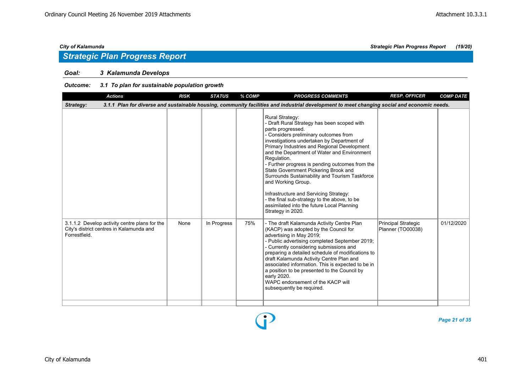### *Goal: 3 Kalamunda Develops*

### *Outcome: 3.1 To plan for sustainable population growth*

| <b>Actions</b>                                                                                             | <b>RISK</b> | <b>STATUS</b> | % COMP | <b>PROGRESS COMMENTS</b>                                                                                                                                                                                                                                                                                                                                                                                                                                                                                                                                                                                                       | <b>RESP. OFFICER</b>                                   | <b>COMP DATE</b> |
|------------------------------------------------------------------------------------------------------------|-------------|---------------|--------|--------------------------------------------------------------------------------------------------------------------------------------------------------------------------------------------------------------------------------------------------------------------------------------------------------------------------------------------------------------------------------------------------------------------------------------------------------------------------------------------------------------------------------------------------------------------------------------------------------------------------------|--------------------------------------------------------|------------------|
| Strategy:                                                                                                  |             |               |        | 3.1.1 Plan for diverse and sustainable housing, community facilities and industrial development to meet changing social and economic needs.                                                                                                                                                                                                                                                                                                                                                                                                                                                                                    |                                                        |                  |
|                                                                                                            |             |               |        | <b>Rural Strategy:</b><br>- Draft Rural Strategy has been scoped with<br>parts progressed.<br>- Considers preliminary outcomes from<br>investigations undertaken by Department of<br>Primary Industries and Regional Development<br>and the Department of Water and Environment<br>Regulation.<br>- Further progress is pending outcomes from the<br>State Government Pickering Brook and<br>Surrounds Sustainability and Tourism Taskforce<br>and Working Group.<br>Infrastructure and Servicing Strategy:<br>- the final sub-strategy to the above, to be<br>assimilated into the future Local Planning<br>Strategy in 2020. |                                                        |                  |
| 3.1.1.2 Develop activity centre plans for the<br>City's district centres in Kalamunda and<br>Forrestfield. | None        | In Progress   | 75%    | - The draft Kalamunda Activity Centre Plan<br>(KACP) was adopted by the Council for<br>advertising in May 2019;<br>- Public advertising completed September 2019;<br>- Currently considering submissions and<br>preparing a detailed schedule of modifications to<br>draft Kalamunda Activity Centre Plan and<br>associated information. This is expected to be in<br>a position to be presented to the Council by<br>early 2020.<br>WAPC endorsement of the KACP will<br>subsequently be required.                                                                                                                            | <b>Principal Strategic</b><br><b>Planner (TO00038)</b> | 01/12/2020       |

 $\mathbf{E}$ 

*City of Kalamunda Strategic Plan Progress Report (19/20)*

*Page 21 of 35*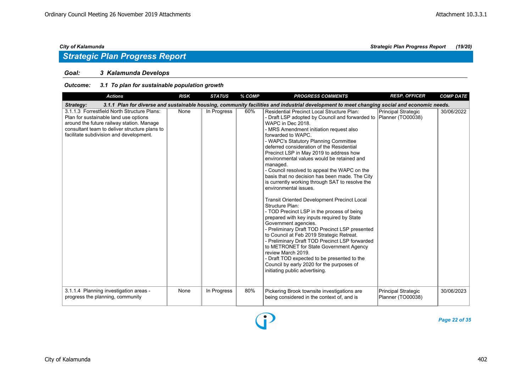### *Goal: 3 Kalamunda Develops*

### *Outcome: 3.1 To plan for sustainable population growth*

| <b>Actions</b>                                                                                                                                                                                                                | <b>RISK</b> | <b>STATUS</b> | % COMP | <b>PROGRESS COMMENTS</b>                                                                                                                                                                                                                                                                                                                                                                                                                                                                                                                                                                                                                                                                                                                                                                                                                                                                                                                                                                                                                                                                                                           | <b>RESP. OFFICER</b>                            | <b>COMP DATE</b> |
|-------------------------------------------------------------------------------------------------------------------------------------------------------------------------------------------------------------------------------|-------------|---------------|--------|------------------------------------------------------------------------------------------------------------------------------------------------------------------------------------------------------------------------------------------------------------------------------------------------------------------------------------------------------------------------------------------------------------------------------------------------------------------------------------------------------------------------------------------------------------------------------------------------------------------------------------------------------------------------------------------------------------------------------------------------------------------------------------------------------------------------------------------------------------------------------------------------------------------------------------------------------------------------------------------------------------------------------------------------------------------------------------------------------------------------------------|-------------------------------------------------|------------------|
| Strategy:                                                                                                                                                                                                                     |             |               |        | 3.1.1 Plan for diverse and sustainable housing, community facilities and industrial development to meet changing social and economic needs.                                                                                                                                                                                                                                                                                                                                                                                                                                                                                                                                                                                                                                                                                                                                                                                                                                                                                                                                                                                        |                                                 |                  |
| 3.1.1.3 Forrestfield North Structure Plans:<br>Plan for sustainable land use options<br>around the future railway station. Manage<br>consultant team to deliver structure plans to<br>facilitate subdivision and development. | None        | In Progress   | 60%    | <b>Residential Precinct Local Structure Plan:</b><br>- Draft LSP adopted by Council and forwarded to Planner (TO00038)<br>WAPC in Dec 2018.<br>- MRS Amendment initiation request also<br>forwarded to WAPC.<br>- WAPC's Statutory Planning Committee<br>deferred consideration of the Residential<br>Precinct LSP in May 2019 to address how<br>environmental values would be retained and<br>managed.<br>- Council resolved to appeal the WAPC on the<br>basis that no decision has been made. The City<br>is currently working through SAT to resolve the<br>environmental issues.<br><b>Transit Oriented Development Precinct Local</b><br>Structure Plan:<br>- TOD Precinct LSP in the process of being<br>prepared with key inputs required by State<br>Government agencies.<br>- Preliminary Draft TOD Precinct LSP presented<br>to Council at Feb 2019 Strategic Retreat.<br>- Preliminary Draft TOD Precinct LSP forwarded<br>to METRONET for State Government Agency<br>review March 2019.<br>- Draft TOD expected to be presented to the<br>Council by early 2020 for the purposes of<br>initiating public advertising. | Principal Strategic                             | 30/06/2022       |
| 3.1.1.4 Planning investigation areas -<br>progress the planning, community                                                                                                                                                    | None        | In Progress   | 80%    | Pickering Brook townsite investigations are<br>being considered in the context of, and is                                                                                                                                                                                                                                                                                                                                                                                                                                                                                                                                                                                                                                                                                                                                                                                                                                                                                                                                                                                                                                          | <b>Principal Strategic</b><br>Planner (TO00038) | 30/06/2023       |

Đ

*Page 22 of 35*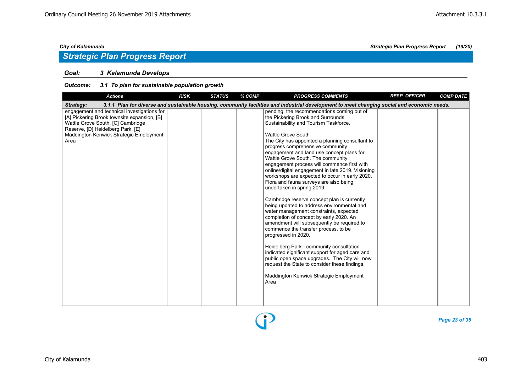### *Goal: 3 Kalamunda Develops*

### *Outcome: 3.1 To plan for sustainable population growth*

| <b>Actions</b>                                                                                                                                                                                                          | <b>RISK</b> | <b>STATUS</b> | % COMP | <b>PROGRESS COMMENTS</b>                                                                                                                                                                                                                                                                                                                                                                                                                                                                                                                                                                                                                                                                                                                                                                                                                                                                                                                                                                                                                                                                                        | <b>RESP. OFFICER</b> | <b>COMP DATE</b> |
|-------------------------------------------------------------------------------------------------------------------------------------------------------------------------------------------------------------------------|-------------|---------------|--------|-----------------------------------------------------------------------------------------------------------------------------------------------------------------------------------------------------------------------------------------------------------------------------------------------------------------------------------------------------------------------------------------------------------------------------------------------------------------------------------------------------------------------------------------------------------------------------------------------------------------------------------------------------------------------------------------------------------------------------------------------------------------------------------------------------------------------------------------------------------------------------------------------------------------------------------------------------------------------------------------------------------------------------------------------------------------------------------------------------------------|----------------------|------------------|
| Strategy:                                                                                                                                                                                                               |             |               |        | 3.1.1 Plan for diverse and sustainable housing, community facilities and industrial development to meet changing social and economic needs.                                                                                                                                                                                                                                                                                                                                                                                                                                                                                                                                                                                                                                                                                                                                                                                                                                                                                                                                                                     |                      |                  |
| engagement and technical investigations for<br>[A] Pickering Brook townsite expansion, [B]<br>Wattle Grove South, [C] Cambridge<br>Reserve, [D] Heidelberg Park, [E]<br>Maddington Kenwick Strategic Employment<br>Area |             |               |        | pending, the recommendations coming out of<br>the Pickering Brook and Surrounds<br>Sustainability and Tourism Taskforce.<br><b>Wattle Grove South</b><br>The City has appointed a planning consultant to<br>progress comprehensive community<br>engagement and land use concept plans for<br>Wattle Grove South. The community<br>engagement process will commence first with<br>online/digital engagement in late 2019. Visioning<br>workshops are expected to occur in early 2020.<br>Flora and fauna surveys are also being<br>undertaken in spring 2019.<br>Cambridge reserve concept plan is currently<br>being updated to address environmental and<br>water management constraints, expected<br>completion of concept by early 2020. An<br>amendment will subsequently be required to<br>commence the transfer process, to be<br>progressed in 2020.<br>Heidelberg Park - community consultation<br>indicated significant support for aged care and<br>public open space upgrades. The City will now<br>request the State to consider these findings.<br>Maddington Kenwick Strategic Employment<br>Area |                      |                  |

*Page 23 of 35*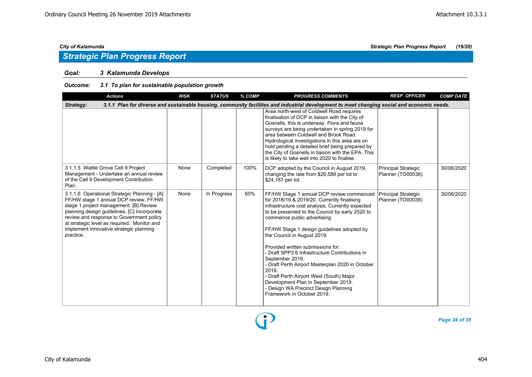### *Goal: 3 Kalamunda Develops*

### *Outcome: 3.1 To plan for sustainable population growth*

| <b>Actions</b>                                                                                                                                                                                                                                                                                                                     | <b>RISK</b> | <b>STATUS</b> | $%$ COMP | <b>PROGRESS COMMENTS</b>                                                                                                                                                                                                                                                                                                                                                                                                                                                                                                                                                                                                                     | <b>RESP. OFFICER</b>                     | <b>COMP DATE</b> |
|------------------------------------------------------------------------------------------------------------------------------------------------------------------------------------------------------------------------------------------------------------------------------------------------------------------------------------|-------------|---------------|----------|----------------------------------------------------------------------------------------------------------------------------------------------------------------------------------------------------------------------------------------------------------------------------------------------------------------------------------------------------------------------------------------------------------------------------------------------------------------------------------------------------------------------------------------------------------------------------------------------------------------------------------------------|------------------------------------------|------------------|
| Strategy:                                                                                                                                                                                                                                                                                                                          |             |               |          | 3.1.1 Plan for diverse and sustainable housing, community facilities and industrial development to meet changing social and economic needs.                                                                                                                                                                                                                                                                                                                                                                                                                                                                                                  |                                          |                  |
|                                                                                                                                                                                                                                                                                                                                    |             |               |          | Area north-west of Coldwell Road requires<br>finalisation of DCP in liaison with the City of<br>Gosnells, this is underway. Flora and fauna<br>surveys are being undertaken in spring 2019 for<br>area between Coldwell and Brook Road.<br>Hydrological investigations in this area are on<br>hold pending a detailed brief being prepared by<br>the City of Gosnells in liaison with the EPA. This<br>is likely to take well into 2020 to finalise.                                                                                                                                                                                         |                                          |                  |
| 3.1.1.5 Wattle Grove Cell 9 Project<br>Management - Undertake an annual review<br>of the Cell 9 Development Contribution<br>Plan.                                                                                                                                                                                                  | None        | Completed     | 100%     | DCP adopted by the Council in August 2019,<br>changing the rate from \$26,588 per lot to<br>\$24,187 per lot.                                                                                                                                                                                                                                                                                                                                                                                                                                                                                                                                | Principal Strategic<br>Planner (TO00038) | 30/06/2020       |
| 3.1.1.6 Operational Strategic Planning - [A]<br>FF/HW stage 1 annual DCP review, FF/HW<br>stage 1 project management. [B] Review<br>planning design guidelines. [C] Incorporate<br>review and response to Government policy<br>at strategic level as required. Monitor and<br>implement innovative strategic planning<br>practice. | None        | In Progress   | 60%      | FF/HW Stage 1 annual DCP review commenced<br>for 2018/19 & 2019/20. Currently finalising<br>infrastructure cost analysis. Currently expected<br>to be presented to the Council by early 2020 to<br>commence public advertising.<br>FF/HW Stage 1 design guidelines adopted by<br>the Council in August 2019.<br>Provided written submissions for:<br>- Draft SPP3.6 Infrastructure Contributions in<br>September 2019.<br>- Draft Perth Airport Masterplan 2020 in October<br>2019.<br>- Draft Perth Airport West (South) Major<br>Development Plan in September 2019.<br>- Design WA Precinct Design Planning<br>Framework in October 2019. | Principal Strategic<br>Planner (TO00038) | 30/06/2020       |

*Page 24 of 35*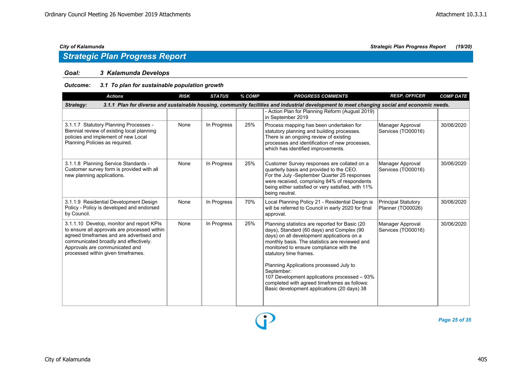## *Strategic Plan Progress Report*

### *Goal: 3 Kalamunda Develops*

### *Outcome: 3.1 To plan for sustainable population growth*

| <b>Actions</b>                                                                                                                                                                                                                                         | <b>RISK</b> | <b>STATUS</b> | % COMP | <b>PROGRESS COMMENTS</b>                                                                                                                                                                                                                                                                                                                                                                                                                                                 | <b>RESP. OFFICER</b>                            | <b>COMP DATE</b> |  |  |  |  |  |
|--------------------------------------------------------------------------------------------------------------------------------------------------------------------------------------------------------------------------------------------------------|-------------|---------------|--------|--------------------------------------------------------------------------------------------------------------------------------------------------------------------------------------------------------------------------------------------------------------------------------------------------------------------------------------------------------------------------------------------------------------------------------------------------------------------------|-------------------------------------------------|------------------|--|--|--|--|--|
| 3.1.1 Plan for diverse and sustainable housing, community facilities and industrial development to meet changing social and economic needs.<br>Strategy:                                                                                               |             |               |        |                                                                                                                                                                                                                                                                                                                                                                                                                                                                          |                                                 |                  |  |  |  |  |  |
|                                                                                                                                                                                                                                                        |             |               |        | - Action Plan for Planning Reform (August 2019)<br>in September 2019                                                                                                                                                                                                                                                                                                                                                                                                     |                                                 |                  |  |  |  |  |  |
| 3.1.1.7 Statutory Planning Processes -<br>Biennial review of existing local planning<br>policies and implement of new Local<br>Planning Policies as required.                                                                                          | None        | In Progress   | 25%    | Process mapping has been undertaken for<br>statutory planning and building processes.<br>There is an ongoing review of existing<br>processes and identification of new processes,<br>which has identified improvements.                                                                                                                                                                                                                                                  | Manager Approval<br>Services (TO00016)          | 30/06/2020       |  |  |  |  |  |
| 3.1.1.8 Planning Service Standards -<br>Customer survey form is provided with all<br>new planning applications.                                                                                                                                        | None        | In Progress   | 25%    | Customer Survey responses are collated on a<br>quarterly basis and provided to the CEO.<br>For the July -September Quarter 25 responses<br>were received, comprising 84% of respondents<br>being either satisfied or very satisfied, with 11%<br>being neutral.                                                                                                                                                                                                          | Manager Approval<br>Services (TO00016)          | 30/06/2020       |  |  |  |  |  |
| 3.1.1.9 Residential Development Design<br>Policy - Policy is developed and endorsed<br>by Council.                                                                                                                                                     | None        | In Progress   | 70%    | Local Planning Policy 21 - Residential Design is<br>will be referred to Council in early 2020 for final<br>approval.                                                                                                                                                                                                                                                                                                                                                     | <b>Principal Statutory</b><br>Planner (TO00026) | 30/06/2020       |  |  |  |  |  |
| 3.1.1.10 Develop, monitor and report KPIs<br>to ensure all approvals are processed within<br>agreed timeframes and are advertised and<br>communicated broadly and effectively.<br>Approvals are communicated and<br>processed within given timeframes. | None        | In Progress   | 25%    | Planning statistics are reported for Basic (20<br>days), Standard (60 days) and Complex (90<br>days) on all development applications on a<br>monthly basis. The statistics are reviewed and<br>monitored to ensure compliance with the<br>statutory time frames.<br>Planning Applications processed July to<br>September:<br>107 Development applications processed - 93%<br>completed with agreed timeframes as follows:<br>Basic development applications (20 days) 38 | Manager Approval<br>Services (TO00016)          | 30/06/2020       |  |  |  |  |  |

*Page 25 of 35*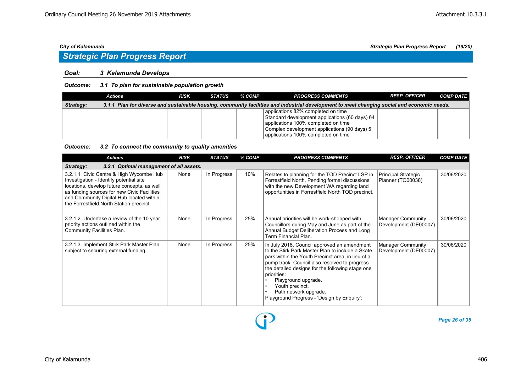## *Strategic Plan Progress Report*

### *Goal: 3 Kalamunda Develops*

### *Outcome: 3.1 To plan for sustainable population growth*

|           | Actions | <b>RISK</b> | STATUS | % COMP | <b>PROGRESS COMMENTS</b>                                                                                                                                                                                           | <b>RESP. OFFICER</b> | <b>COMP DATE</b> |
|-----------|---------|-------------|--------|--------|--------------------------------------------------------------------------------------------------------------------------------------------------------------------------------------------------------------------|----------------------|------------------|
| Strategy: |         |             |        |        | 3.1.1 Plan for diverse and sustainable housing, community facilities and industrial development to meet changing social and economic needs.                                                                        |                      |                  |
|           |         |             |        |        | applications 82% completed on time<br>Standard development applications (60 days) 64<br>applications 100% completed on time<br>Complex development applications (90 days) 5<br>applications 100% completed on time |                      |                  |

### *Outcome: 3.2 To connect the community to quality amenities*

| <b>Actions</b>                                                                                                                                                                                                                                                           | <b>RISK</b> | <b>STATUS</b> | % COMP | <b>PROGRESS COMMENTS</b>                                                                                                                                                                                                                                                                                                                                                                               | <b>RESP. OFFICER</b>                              | <b>COMP DATE</b> |  |  |  |  |
|--------------------------------------------------------------------------------------------------------------------------------------------------------------------------------------------------------------------------------------------------------------------------|-------------|---------------|--------|--------------------------------------------------------------------------------------------------------------------------------------------------------------------------------------------------------------------------------------------------------------------------------------------------------------------------------------------------------------------------------------------------------|---------------------------------------------------|------------------|--|--|--|--|
| 3.2.1 Optimal management of all assets.<br>Strategy:                                                                                                                                                                                                                     |             |               |        |                                                                                                                                                                                                                                                                                                                                                                                                        |                                                   |                  |  |  |  |  |
| 3.2.1.1 Civic Centre & High Wycombe Hub<br>Investigation - Identify potential site<br>locations, develop future concepts, as well<br>as funding sources for new Civic Facilities<br>and Community Digital Hub located within<br>the Forrestfield North Station precinct. | None        | In Progress   | 10%    | Relates to planning for the TOD Precinct LSP in<br>Forrestfield North. Pending formal discussions<br>with the new Development WA regarding land<br>opportunities in Forrestfield North TOD precinct.                                                                                                                                                                                                   | Principal Strategic<br>Planner (TO00038)          | 30/06/2020       |  |  |  |  |
| 3.2.1.2 Undertake a review of the 10 year<br>priority actions outlined within the<br>Community Facilities Plan.                                                                                                                                                          | None        | In Progress   | 25%    | Annual priorities will be work-shopped with<br>Councillors during May and June as part of the<br>Annual Budget Deliberation Process and Long<br>Term Financial Plan.                                                                                                                                                                                                                                   | <b>Manager Community</b><br>Development (DE00007) | 30/06/2020       |  |  |  |  |
| 3.2.1.3 Implement Stirk Park Master Plan<br>subject to securing external funding.                                                                                                                                                                                        | None        | In Progress   | 25%    | In July 2018, Council approved an amendment<br>to the Stirk Park Master Plan to include a Skate<br>park within the Youth Precinct area, in lieu of a<br>pump track. Council also resolved to progress<br>the detailed designs for the following stage one<br>priorities:<br>Playground upgrade.<br>Youth precinct.<br>Path network upgrade.<br>$\bullet$<br>Playground Progress - 'Design by Enquiry': | <b>Manager Community</b><br>Development (DE00007) | 30/06/2020       |  |  |  |  |

Đ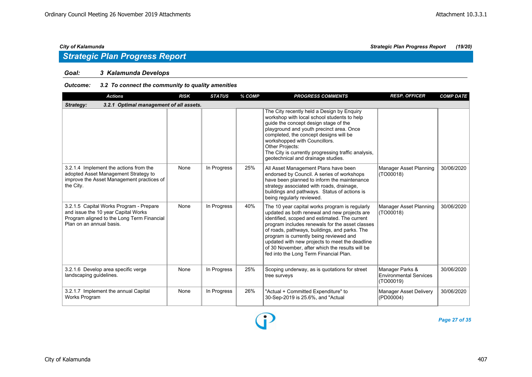### *Goal: 3 Kalamunda Develops*

### *Outcome: 3.2 To connect the community to quality amenities*

| <b>Actions</b>                                                                                                                                           | <b>RISK</b> | <b>STATUS</b> | % COMP | <b>PROGRESS COMMENTS</b>                                                                                                                                                                                                                                                                                                                                                                                                                      | <b>RESP. OFFICER</b>                                          | <b>COMP DATE</b> |  |  |  |  |
|----------------------------------------------------------------------------------------------------------------------------------------------------------|-------------|---------------|--------|-----------------------------------------------------------------------------------------------------------------------------------------------------------------------------------------------------------------------------------------------------------------------------------------------------------------------------------------------------------------------------------------------------------------------------------------------|---------------------------------------------------------------|------------------|--|--|--|--|
| 3.2.1 Optimal management of all assets.<br>Strategy:                                                                                                     |             |               |        |                                                                                                                                                                                                                                                                                                                                                                                                                                               |                                                               |                  |  |  |  |  |
|                                                                                                                                                          |             |               |        | The City recently held a Design by Enquiry<br>workshop with local school students to help<br>guide the concept design stage of the<br>playground and youth precinct area. Once<br>completed, the concept designs will be<br>workshopped with Councillors.<br>Other Projects:<br>The City is currently progressing traffic analysis,<br>geotechnical and drainage studies.                                                                     |                                                               |                  |  |  |  |  |
| 3.2.1.4 Implement the actions from the<br>adopted Asset Management Strategy to<br>improve the Asset Management practices of<br>the City.                 | None        | In Progress   | 25%    | All Asset Management Plans have been<br>endorsed by Council. A series of workshops<br>have been planned to inform the maintenance<br>strategy associated with roads, drainage,<br>buildings and pathways. Status of actions is<br>being regularly reviewed.                                                                                                                                                                                   | Manager Asset Planning<br>(TO00018)                           | 30/06/2020       |  |  |  |  |
| 3.2.1.5 Capital Works Program - Prepare<br>and issue the 10 year Capital Works<br>Program aligned to the Long Term Financial<br>Plan on an annual basis. | None        | In Progress   | 40%    | The 10 year capital works program is regularly<br>updated as both renewal and new projects are<br>identified, scoped and estimated. The current<br>program includes renewals for the asset classes<br>of roads, pathways, buildings, and parks. The<br>program is currently being reviewed and<br>updated with new projects to meet the deadline<br>of 30 November, after which the results will be<br>fed into the Long Term Financial Plan. | Manager Asset Planning<br>(TO00018)                           | 30/06/2020       |  |  |  |  |
| 3.2.1.6 Develop area specific verge<br>landscaping guidelines.                                                                                           | None        | In Progress   | 25%    | Scoping underway, as is quotations for street<br>tree surveys                                                                                                                                                                                                                                                                                                                                                                                 | Manager Parks &<br><b>Environmental Services</b><br>(TO00019) | 30/06/2020       |  |  |  |  |
| 3.2.1.7 Implement the annual Capital<br>Works Program                                                                                                    | None        | In Progress   | 26%    | "Actual + Committed Expenditure" to<br>30-Sep-2019 is 25.6%, and "Actual                                                                                                                                                                                                                                                                                                                                                                      | Manager Asset Delivery<br>(PD00004)                           | 30/06/2020       |  |  |  |  |

D



*Page 27 of 35*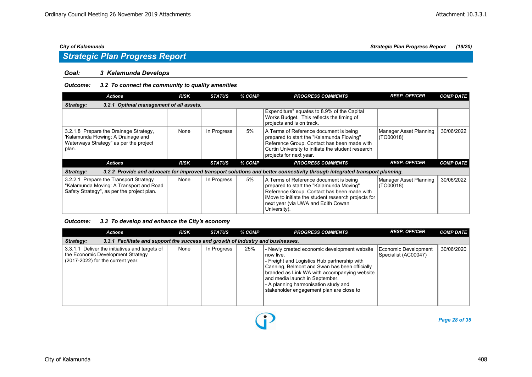### *Goal: 3 Kalamunda Develops*

### *Outcome: 3.2 To connect the community to quality amenities*

| <b>Actions</b>                                                                                                                  | <b>RISK</b> | <b>STATUS</b> | % COMP | <b>PROGRESS COMMENTS</b>                                                                                                                                                                                                                       | <b>RESP. OFFICER</b>                | <b>COMP DATE</b> |  |  |  |  |
|---------------------------------------------------------------------------------------------------------------------------------|-------------|---------------|--------|------------------------------------------------------------------------------------------------------------------------------------------------------------------------------------------------------------------------------------------------|-------------------------------------|------------------|--|--|--|--|
| Strategy:<br><b>Optimal management of all assets.</b><br>3.2.1                                                                  |             |               |        |                                                                                                                                                                                                                                                |                                     |                  |  |  |  |  |
|                                                                                                                                 |             |               |        | Expenditure" equates to 8.9% of the Capital<br>Works Budget. This reflects the timing of<br>projects and is on track.                                                                                                                          |                                     |                  |  |  |  |  |
| 3.2.1.8 Prepare the Drainage Strategy,<br>'Kalamunda Flowing: A Drainage and<br>Waterways Strategy" as per the project<br>plan. | None        | In Progress   | 5%     | A Terms of Reference document is being<br>prepared to start the "Kalamunda Flowing"<br>Reference Group. Contact has been made with<br>Curtin University to initiate the student research<br>projects for next year.                            | Manager Asset Planning<br>(TO00018) | 30/06/2022       |  |  |  |  |
| Actions                                                                                                                         | <b>RISK</b> | <b>STATUS</b> | % COMP | <b>PROGRESS COMMENTS</b>                                                                                                                                                                                                                       | <b>RESP. OFFICER</b>                | <b>COMP DATE</b> |  |  |  |  |
| Strategy:                                                                                                                       |             |               |        | 3.2.2 Provide and advocate for improved transport solutions and better connectivity through integrated transport planning.                                                                                                                     |                                     |                  |  |  |  |  |
| 3.2.2.1 Prepare the Transport Strategy<br>"Kalamunda Moving: A Transport and Road<br>Safety Strategy", as per the project plan. | None        | In Progress   | 5%     | A Terms of Reference document is being<br>prepared to start the "Kalamunda Moving"<br>Reference Group. Contact has been made with<br>iMove to initiate the student research projects for<br>next year (via UWA and Edith Cowan<br>University). | Manager Asset Planning<br>(TO00018) | 30/06/2022       |  |  |  |  |

### *Outcome: 3.3 To develop and enhance the City's economy*

| <b>Actions</b>                                                                                                           | <b>RISK</b> | <b>STATUS</b> | % COMP | <b>PROGRESS COMMENTS</b>                                                                                                                                                                                                                                                                                                           | <b>RESP. OFFICER</b>                         | <b>COMP DATE</b> |  |  |  |  |
|--------------------------------------------------------------------------------------------------------------------------|-------------|---------------|--------|------------------------------------------------------------------------------------------------------------------------------------------------------------------------------------------------------------------------------------------------------------------------------------------------------------------------------------|----------------------------------------------|------------------|--|--|--|--|
| 3.3.1 Facilitate and support the success and growth of industry and businesses.<br>Strategy:                             |             |               |        |                                                                                                                                                                                                                                                                                                                                    |                                              |                  |  |  |  |  |
| 3.3.1.1 Deliver the initiatives and targets of<br>the Economic Development Strategy<br>(2017-2022) for the current year. | None        | In Progress   | 25%    | - Newly created economic development website<br>∣ now live.<br>- Freight and Logistics Hub partnership with<br>Canning, Belmont and Swan has been officially<br>branded as Link WA with accompanying website<br>and media launch in September.<br>- A planning harmonisation study and<br>stakeholder engagement plan are close to | Economic Development<br>Specialist (AC00047) | 30/06/2020       |  |  |  |  |

 $\bf{P}$ 

*Page 28 of 35*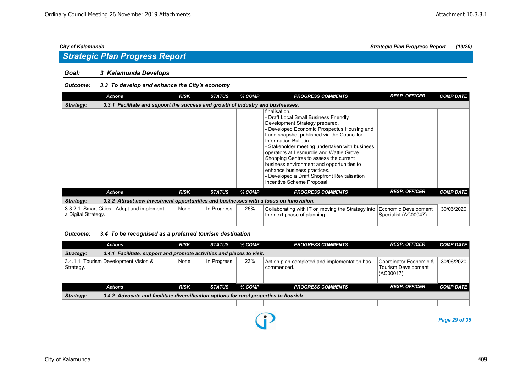### *Goal: 3 Kalamunda Develops*

### *Outcome: 3.3 To develop and enhance the City's economy*

|                     | <b>Actions</b>                                                                        | <b>RISK</b> | <b>STATUS</b> | % COMP | <b>PROGRESS COMMENTS</b>                                                                                                                                                                                                                                                                                                                                                                                                                                                                                        | <b>RESP. OFFICER</b> | <b>COMP DATE</b> |
|---------------------|---------------------------------------------------------------------------------------|-------------|---------------|--------|-----------------------------------------------------------------------------------------------------------------------------------------------------------------------------------------------------------------------------------------------------------------------------------------------------------------------------------------------------------------------------------------------------------------------------------------------------------------------------------------------------------------|----------------------|------------------|
| Strategy:           | 3.3.1 Facilitate and support the success and growth of industry and businesses.       |             |               |        |                                                                                                                                                                                                                                                                                                                                                                                                                                                                                                                 |                      |                  |
|                     |                                                                                       |             |               |        | finalisation.<br>- Draft Local Small Business Friendly<br>Development Strategy prepared.<br>- Developed Economic Prospectus Housing and<br>Land snapshot published via the Councillor<br>Information Bulletin.<br>- Stakeholder meeting undertaken with business<br>operators at Lesmurdie and Wattle Grove<br>Shopping Centres to assess the current<br>business environment and opportunities to<br>enhance business practices.<br>- Developed a Draft Shopfront Revitalisation<br>Incentive Scheme Proposal. |                      |                  |
|                     | <b>Actions</b>                                                                        | <b>RISK</b> | <b>STATUS</b> | % COMP | <b>PROGRESS COMMENTS</b>                                                                                                                                                                                                                                                                                                                                                                                                                                                                                        | <b>RESP. OFFICER</b> | <b>COMP DATE</b> |
| Strategy:           | 3.3.2 Attract new investment opportunities and businesses with a focus on innovation. |             |               |        |                                                                                                                                                                                                                                                                                                                                                                                                                                                                                                                 |                      |                  |
| a Digital Strategy. | 3.3.2.1 Smart Cities - Adopt and implement                                            | None        | In Progress   | 26%    | Collaborating with IT on moving the Strategy into Economic Development<br>the next phase of planning.                                                                                                                                                                                                                                                                                                                                                                                                           | Specialist (AC00047) | 30/06/2020       |

*Outcome: 3.4 To be recognised as a preferred tourism destination*

| <b>Actions</b>                                                                                       | <b>RISK</b> | <b>STATUS</b> | % COMP | <b>PROGRESS COMMENTS</b>                                   | <b>RESP. OFFICER</b>                                        | <b>COMP DATE</b> |  |  |  |  |
|------------------------------------------------------------------------------------------------------|-------------|---------------|--------|------------------------------------------------------------|-------------------------------------------------------------|------------------|--|--|--|--|
| 3.4.1 Facilitate, support and promote activities and places to visit.<br>Strategy:                   |             |               |        |                                                            |                                                             |                  |  |  |  |  |
| 3.4.1.1 Tourism Development Vision &<br>Strategy.                                                    | None        | In Progress   | 23%    | Action plan completed and implementation has<br>commenced. | Coordinator Economic &<br>Tourism Development<br>I(AC00017) | 30/06/2020       |  |  |  |  |
| <b>Actions</b>                                                                                       | <b>RISK</b> | <b>STATUS</b> | % COMP | <b>PROGRESS COMMENTS</b>                                   | <b>RESP. OFFICER</b>                                        | <b>COMP DATE</b> |  |  |  |  |
| 3.4.2 Advocate and facilitate diversification options for rural properties to flourish.<br>Strategy: |             |               |        |                                                            |                                                             |                  |  |  |  |  |
|                                                                                                      |             |               |        |                                                            |                                                             |                  |  |  |  |  |

P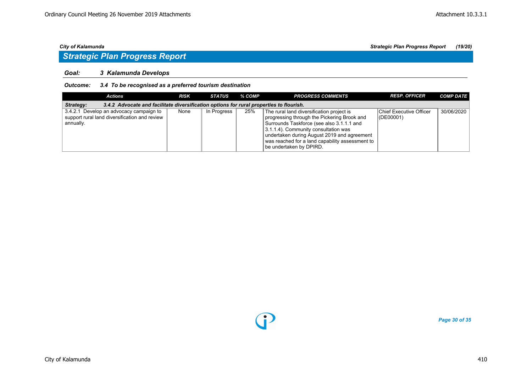## *Strategic Plan Progress Report*

### *Goal: 3 Kalamunda Develops*

### *Outcome: 3.4 To be recognised as a preferred tourism destination*

| Actions                                                                                               | <b>RISK</b> | STATUS      | % COMP | <b>PROGRESS COMMENTS</b>                                                                                                                                                                                                                                                                                   | <b>RESP. OFFICER</b>                        | <b>COMP DATE</b> |  |  |  |  |
|-------------------------------------------------------------------------------------------------------|-------------|-------------|--------|------------------------------------------------------------------------------------------------------------------------------------------------------------------------------------------------------------------------------------------------------------------------------------------------------------|---------------------------------------------|------------------|--|--|--|--|
| 3.4.2 Advocate and facilitate diversification options for rural properties to flourish.<br>Strategy:  |             |             |        |                                                                                                                                                                                                                                                                                                            |                                             |                  |  |  |  |  |
| 3.4.2.1 Develop an advocacy campaign to<br>support rural land diversification and review<br>annually. | None        | In Progress | 25%    | The rural land diversification project is<br>progressing through the Pickering Brook and<br>Surrounds Taskforce (see also 3.1.1.1 and<br>3.1.1.4). Community consultation was<br>undertaken during August 2019 and agreement<br>was reached for a land capability assessment to<br>be undertaken by DPIRD. | <b>Chief Executive Officer</b><br>(DE00001) | 30/06/2020       |  |  |  |  |

O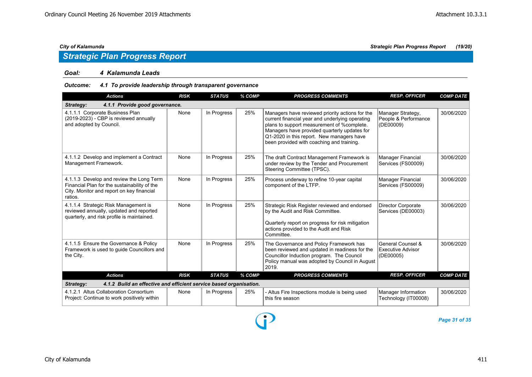### *Goal: 4 Kalamunda Leads*

### *Outcome: 4.1 To provide leadership through transparent governance*

| <b>Actions</b>                                                                                                                                   | <b>RISK</b> | <b>STATUS</b> | % COMP | <b>PROGRESS COMMENTS</b>                                                                                                                                                                                                                                                                   | <b>RESP. OFFICER</b>                                       | <b>COMP DATE</b> |
|--------------------------------------------------------------------------------------------------------------------------------------------------|-------------|---------------|--------|--------------------------------------------------------------------------------------------------------------------------------------------------------------------------------------------------------------------------------------------------------------------------------------------|------------------------------------------------------------|------------------|
| 4.1.1 Provide good governance.<br>Strategy:                                                                                                      |             |               |        |                                                                                                                                                                                                                                                                                            |                                                            |                  |
| 4.1.1.1 Corporate Business Plan<br>(2019-2023) - CBP is reviewed annually<br>and adopted by Council.                                             | None        | In Progress   | 25%    | Managers have reviewed priority actions for the<br>current financial year and underlying operating<br>plans to support measurement of %complete.<br>Managers have provided quarterly updates for<br>Q1-2020 in this report. New managers have<br>been provided with coaching and training. | Manager Strategy,<br>People & Performance<br>(DE00009)     | 30/06/2020       |
| 4.1.1.2 Develop and implement a Contract<br>Management Framework.                                                                                | None        | In Progress   | 25%    | The draft Contract Management Framework is<br>under review by the Tender and Procurement<br>Steering Committee (TPSC).                                                                                                                                                                     | Manager Financial<br>Services (FS00009)                    | 30/06/2020       |
| 4.1.1.3 Develop and review the Long Term<br>Financial Plan for the sustainability of the<br>City. Monitor and report on key financial<br>ratios. | None        | In Progress   | 25%    | Process underway to refine 10-year capital<br>component of the LTFP.                                                                                                                                                                                                                       | <b>Manager Financial</b><br>Services (FS00009)             | 30/06/2020       |
| 4.1.1.4 Strategic Risk Management is<br>reviewed annually, updated and reported<br>quarterly, and risk profile is maintained.                    | None        | In Progress   | 25%    | Strategic Risk Register reviewed and endorsed<br>by the Audit and Risk Committee.<br>Quarterly report on progress for risk mitigation<br>actions provided to the Audit and Risk<br>Committee.                                                                                              | <b>Director Corporate</b><br>Services (DE00003)            | 30/06/2020       |
| 4.1.1.5 Ensure the Governance & Policy<br>Framework is used to quide Councillors and<br>the City.                                                | None        | In Progress   | 25%    | The Governance and Policy Framework has<br>been reviewed and updated in readiness for the<br>Councillor Induction program. The Council<br>Policy manual was adopted by Council in August<br>2019.                                                                                          | General Counsel &<br><b>Executive Advisor</b><br>(DE00005) | 30/06/2020       |
| <b>Actions</b>                                                                                                                                   | <b>RISK</b> | <b>STATUS</b> | % COMP | <b>PROGRESS COMMENTS</b>                                                                                                                                                                                                                                                                   | <b>RESP. OFFICER</b>                                       | <b>COMP DATE</b> |
| 4.1.2 Build an effective and efficient service based organisation.<br>Strategy:                                                                  |             |               |        |                                                                                                                                                                                                                                                                                            |                                                            |                  |
| 4.1.2.1 Altus Collaboration Consortium<br>Project: Continue to work positively within                                                            | None        | In Progress   | 25%    | - Altus Fire Inspections module is being used<br>this fire season                                                                                                                                                                                                                          | Manager Information<br>Technology (IT00008)                | 30/06/2020       |

D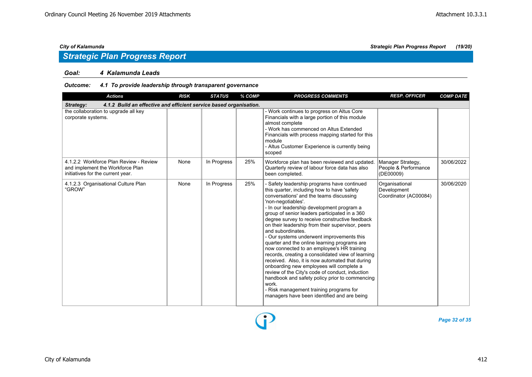### *Goal: 4 Kalamunda Leads*

### *Outcome: 4.1 To provide leadership through transparent governance*

| <b>Actions</b>                                                                                                  | <b>RISK</b> | <b>STATUS</b> | % COMP | <b>PROGRESS COMMENTS</b>                                                                                                                                                                                                                                                                                                                                                                                                                                                                                                                                                                                                                                                                                                                                                                                                                                                                    | <b>RESP. OFFICER</b>                                   | <b>COMP DATE</b> |
|-----------------------------------------------------------------------------------------------------------------|-------------|---------------|--------|---------------------------------------------------------------------------------------------------------------------------------------------------------------------------------------------------------------------------------------------------------------------------------------------------------------------------------------------------------------------------------------------------------------------------------------------------------------------------------------------------------------------------------------------------------------------------------------------------------------------------------------------------------------------------------------------------------------------------------------------------------------------------------------------------------------------------------------------------------------------------------------------|--------------------------------------------------------|------------------|
| 4.1.2 Build an effective and efficient service based organisation.<br>Strategy:                                 |             |               |        |                                                                                                                                                                                                                                                                                                                                                                                                                                                                                                                                                                                                                                                                                                                                                                                                                                                                                             |                                                        |                  |
| the collaboration to upgrade all key<br>corporate systems.                                                      |             |               |        | - Work continues to progress on Altus Core<br>Financials with a large portion of this module<br>almost complete<br>- Work has commenced on Altus Extended<br>Financials with process mapping started for this<br>module<br>- Altus Customer Experience is currently being<br>scoped                                                                                                                                                                                                                                                                                                                                                                                                                                                                                                                                                                                                         |                                                        |                  |
| 4.1.2.2 Workforce Plan Review - Review<br>and implement the Workforce Plan<br>initiatives for the current year. | None        | In Progress   | 25%    | Workforce plan has been reviewed and updated.<br>Quarterly review of labour force data has also<br>been completed.                                                                                                                                                                                                                                                                                                                                                                                                                                                                                                                                                                                                                                                                                                                                                                          | Manager Strategy,<br>People & Performance<br>(DE00009) | 30/06/2022       |
| 4.1.2.3 Organisational Culture Plan<br>"GROW"                                                                   | None        | In Progress   | 25%    | - Safety leadership programs have continued<br>this quarter, including how to have 'safety<br>conversations' and the teams discussing<br>'non-negotiables'.<br>- In our leadership development program a<br>group of senior leaders participated in a 360<br>degree survey to receive constructive feedback<br>on their leadership from their supervisor, peers<br>and subordinates.<br>- Our systems underwent improvements this<br>quarter and the online learning programs are<br>now connected to an employee's HR training<br>records, creating a consolidated view of learning<br>received. Also, it is now automated that during<br>onboarding new employees will complete a<br>review of the City's code of conduct, induction<br>handbook and safety policy prior to commencing<br>work.<br>- Risk management training programs for<br>managers have been identified and are being | Organisational<br>Development<br>Coordinator (AC00084) | 30/06/2020       |

O

*Page 32 of 35*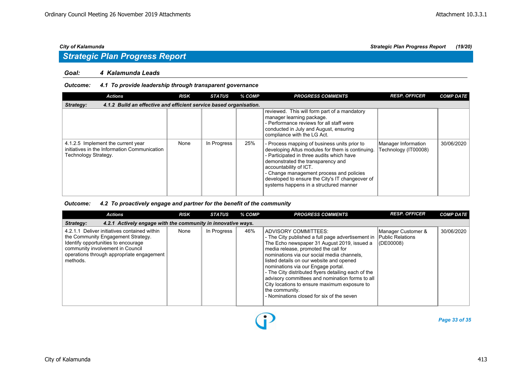### *Goal: 4 Kalamunda Leads*

### *Outcome: 4.1 To provide leadership through transparent governance*

| <b>Actions</b>                                                                                             | <b>RISK</b> | <b>STATUS</b> | % COMP | <b>PROGRESS COMMENTS</b>                                                                                                                                                                                                                                                                                                                              | <b>RESP. OFFICER</b>                        | <b>COMP DATE</b> |  |  |  |
|------------------------------------------------------------------------------------------------------------|-------------|---------------|--------|-------------------------------------------------------------------------------------------------------------------------------------------------------------------------------------------------------------------------------------------------------------------------------------------------------------------------------------------------------|---------------------------------------------|------------------|--|--|--|
| 4.1.2 Build an effective and efficient service based organisation.<br>Strategy:                            |             |               |        |                                                                                                                                                                                                                                                                                                                                                       |                                             |                  |  |  |  |
|                                                                                                            |             |               |        | reviewed. This will form part of a mandatory<br>manager learning package.<br>- Performance reviews for all staff were<br>conducted in July and August, ensuring<br>compliance with the LG Act.                                                                                                                                                        |                                             |                  |  |  |  |
| 4.1.2.5 Implement the current year<br>initiatives in the Information Communication<br>Technology Strategy. | None        | In Progress   | 25%    | - Process mapping of business units prior to<br>developing Altus modules for them is continuing.<br>- Participated in three audits which have<br>demonstrated the transparency and<br>accountability of ICT.<br>- Change management process and policies<br>developed to ensure the City's IT changeover of<br>systems happens in a structured manner | Manager Information<br>Technology (IT00008) | 30/06/2020       |  |  |  |

### *Outcome: 4.2 To proactively engage and partner for the benefit of the community*

| <b>Actions</b>                                                                                                                                                                                                         | <b>RISK</b> | <b>STATUS</b> | % COMP | <b>PROGRESS COMMENTS</b>                                                                                                                                                                                                                                                                                                                                                                                                                                                                                                                     | <b>RESP. OFFICER</b>                | <b>COMP DATE</b> |  |  |  |
|------------------------------------------------------------------------------------------------------------------------------------------------------------------------------------------------------------------------|-------------|---------------|--------|----------------------------------------------------------------------------------------------------------------------------------------------------------------------------------------------------------------------------------------------------------------------------------------------------------------------------------------------------------------------------------------------------------------------------------------------------------------------------------------------------------------------------------------------|-------------------------------------|------------------|--|--|--|
| 4.2.1 Actively engage with the community in innovative ways.<br>Strategy:                                                                                                                                              |             |               |        |                                                                                                                                                                                                                                                                                                                                                                                                                                                                                                                                              |                                     |                  |  |  |  |
| 4.2.1.1 Deliver initiatives contained within<br>the Community Engagement Strategy.<br>Identify opportunities to encourage<br>community involvement in Council<br>operations through appropriate engagement<br>methods. | None        | In Progress   | 46%    | ADVISORY COMMITTEES:<br>- The City published a full page advertisement in   Public Relations<br>The Echo newspaper 31 August 2019, issued a<br>media release, promoted the call for<br>nominations via our social media channels,<br>listed details on our website and opened<br>nominations via our Engage portal.<br>- The City distributed flyers detailing each of the<br>advisory committees and nomination forms to all<br>City locations to ensure maximum exposure to<br>the community.<br>- Nominations closed for six of the seven | Manager Customer &<br>$ $ (DE00008) | 30/06/2020       |  |  |  |

D

*Page 33 of 35*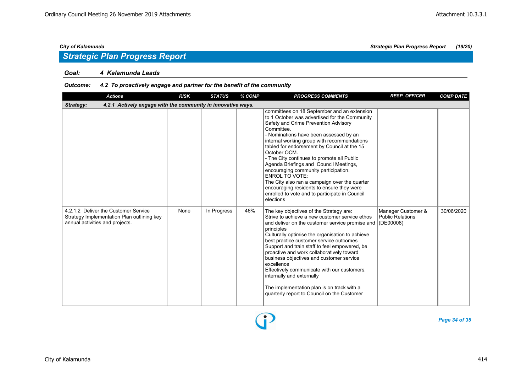## *Strategic Plan Progress Report*

### *Goal: 4 Kalamunda Leads*

### *Outcome: 4.2 To proactively engage and partner for the benefit of the community*

| <b>Actions</b>                                                                                                        | <b>RISK</b> | <b>STATUS</b> | % COMP | <b>PROGRESS COMMENTS</b>                                                                                                                                                                                                                                                                                                                                                                                                                                                                                                                                                                                                         | <b>RESP. OFFICER</b>                          | <b>COMP DATE</b> |  |  |
|-----------------------------------------------------------------------------------------------------------------------|-------------|---------------|--------|----------------------------------------------------------------------------------------------------------------------------------------------------------------------------------------------------------------------------------------------------------------------------------------------------------------------------------------------------------------------------------------------------------------------------------------------------------------------------------------------------------------------------------------------------------------------------------------------------------------------------------|-----------------------------------------------|------------------|--|--|
| 4.2.1 Actively engage with the community in innovative ways.<br>Strategy:                                             |             |               |        |                                                                                                                                                                                                                                                                                                                                                                                                                                                                                                                                                                                                                                  |                                               |                  |  |  |
|                                                                                                                       |             |               |        | committees on 18 September and an extension<br>to 1 October was advertised for the Community<br>Safety and Crime Prevention Advisory<br>Committee.<br>- Nominations have been assessed by an<br>internal working group with recommendations<br>tabled for endorsement by Council at the 15<br>October OCM.<br>- The City continues to promote all Public<br>Agenda Briefings and Council Meetings,<br>encouraging community participation.<br><b>ENROL TO VOTE:</b><br>The City also ran a campaign over the quarter<br>encouraging residents to ensure they were<br>enrolled to vote and to participate in Council<br>elections |                                               |                  |  |  |
| 4.2.1.2 Deliver the Customer Service<br>Strategy Implementation Plan outlining key<br>annual activities and projects. | None        | In Progress   | 46%    | The key objectives of the Strategy are:<br>Strive to achieve a new customer service ethos<br>and deliver on the customer service promise and (DE00008)<br>principles<br>Culturally optimise the organisation to achieve<br>best practice customer service outcomes<br>Support and train staff to feel empowered, be<br>proactive and work collaboratively toward<br>business objectives and customer service<br>excellence<br>Effectively communicate with our customers,<br>internally and externally<br>The implementation plan is on track with a<br>quarterly report to Council on the Customer                              | Manager Customer &<br><b>Public Relations</b> | 30/06/2020       |  |  |

*Page 34 of 35*